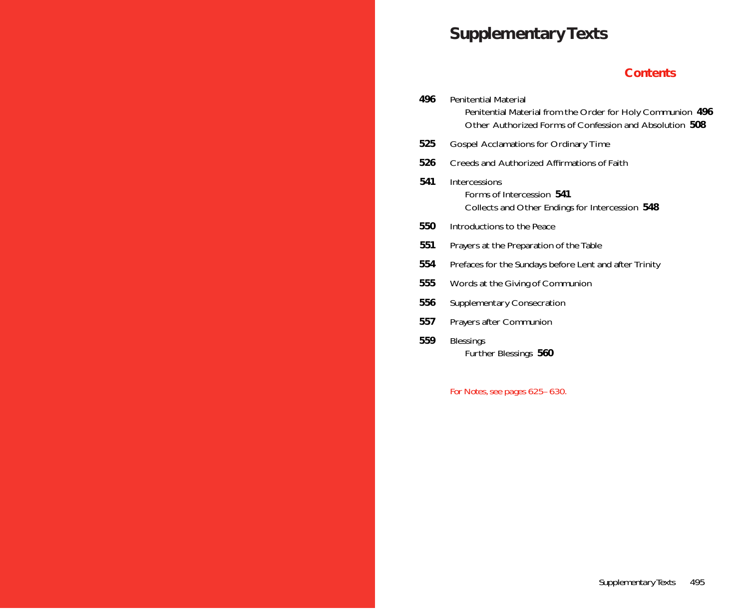# **Supplementary Texts**

# **Contents**

| 496 | <b>Penitential Material</b><br>Penitential Material from the Order for Holy Communion 496<br>Other Authorized Forms of Confession and Absolution 508 |
|-----|------------------------------------------------------------------------------------------------------------------------------------------------------|
| 525 | <b>Gospel Acclamations for Ordinary Time</b>                                                                                                         |
| 526 | Creeds and Authorized Affirmations of Faith                                                                                                          |
| 541 | Intercessions<br>Forms of Intercession 541<br>Collects and Other Endings for Intercession 548                                                        |
| 550 | Introductions to the Peace                                                                                                                           |
| 551 | Prayers at the Preparation of the Table                                                                                                              |
| 554 | Prefaces for the Sundays before Lent and after Trinity                                                                                               |
| 555 | Words at the Giving of Communion                                                                                                                     |
| 556 | Supplementary Consecration                                                                                                                           |
| 557 | Prayers after Communion                                                                                                                              |
| 559 | <b>Blessings</b><br>Further Blessings 560                                                                                                            |

*For Notes, see pages 625–630.*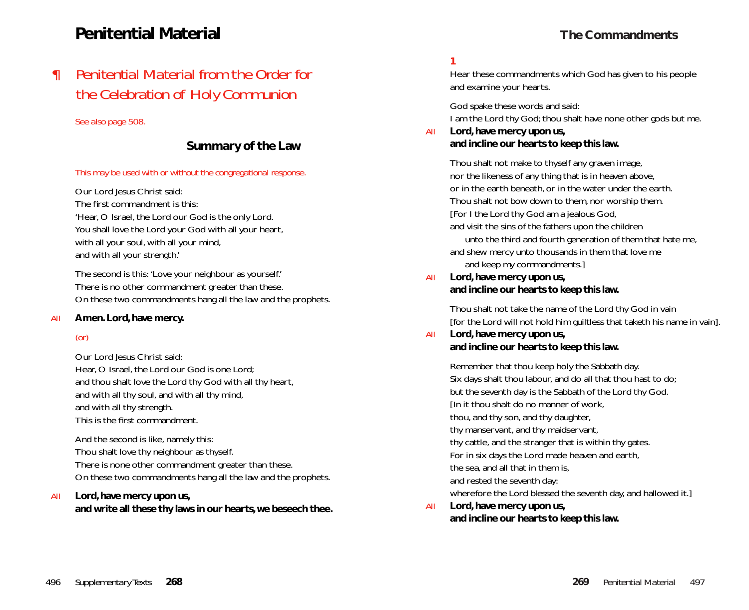# **Penitential Material**

# *¶ Penitential Material from the Order for the Celebration of Holy Communion*

*See also page 508.*

# **Summary of the Law**

#### *This may be used with or without the congregational response.*

Our Lord Jesus Christ said: The first commandment is this: 'Hear, O Israel, the Lord our God is the only Lord. You shall love the Lord your God with all your heart, with all your soul, with all your mind, and with all your strength.'

The second is this: 'Love your neighbour as yourself.' There is no other commandment greater than these. On these two commandments hang all the law and the prophets.

#### *All* **Amen. Lord, have mercy.**

#### *(or)*

Our Lord Jesus Christ said: Hear, O Israel, the Lord our God is one Lord; and thou shalt love the Lord thy God with all thy heart, and with all thy soul, and with all thy mind, and with all thy strength. This is the first commandment.

And the second is like, namely this: Thou shalt love thy neighbour as thyself. There is none other commandment greater than these. On these two commandments hang all the law and the prophets.

### *All* **Lord, have mercy upon us, and write all these thy laws in our hearts, we beseech thee.**

#### **1**

Hear these commandments which God has given to his people and examine your hearts.

God spake these words and said: I am the Lord thy God; thou shalt have none other gods but me.

#### *All* **Lord, have mercy upon us, and incline our hearts to keep this law.**

Thou shalt not make to thyself any graven image, nor the likeness of any thing that is in heaven above, or in the earth beneath, or in the water under the earth. Thou shalt not bow down to them, nor worship them. [For I the Lord thy God am a jealous God, and visit the sins of the fathers upon the children unto the third and fourth generation of them that hate me, and shew mercy unto thousands in them that love me and keep my commandments.]

#### *All* **Lord, have mercy upon us, and incline our hearts to keep this law.**

Thou shalt not take the name of the Lord thy God in vain [for the Lord will not hold him guiltless that taketh his name in vain].

### *All* **Lord, have mercy upon us, and incline our hearts to keep this law.**

Remember that thou keep holy the Sabbath day. Six days shalt thou labour, and do all that thou hast to do; but the seventh day is the Sabbath of the Lord thy God. [In it thou shalt do no manner of work, thou, and thy son, and thy daughter, thy manservant, and thy maidservant, thy cattle, and the stranger that is within thy gates. For in six days the Lord made heaven and earth, the sea, and all that in them is, and rested the seventh day: wherefore the Lord blessed the seventh day, and hallowed it.] *All* **Lord, have mercy upon us,**

**and incline our hearts to keep this law.**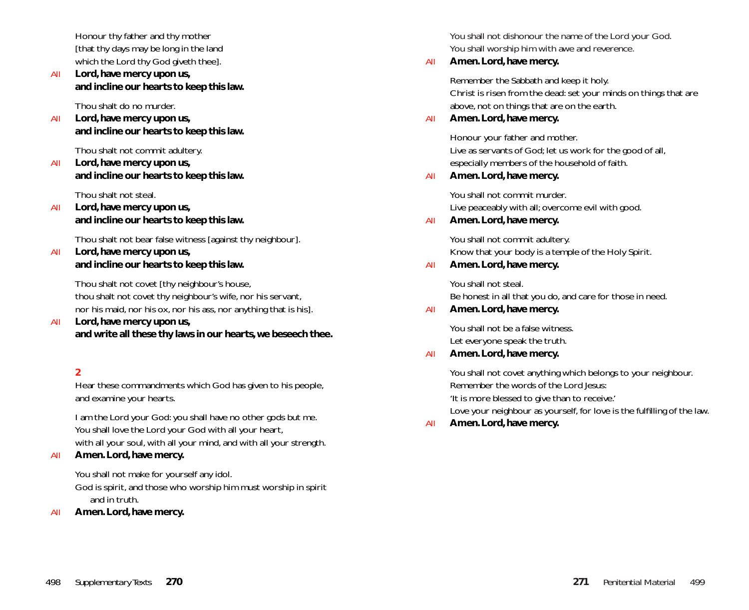Honour thy father and thy mother [that thy days may be long in the land which the Lord thy God giveth thee].

*All* **Lord, have mercy upon us, and incline our hearts to keep this law.**

Thou shalt do no murder.

*All* **Lord, have mercy upon us, and incline our hearts to keep this law.**

Thou shalt not commit adultery.

*All* **Lord, have mercy upon us, and incline our hearts to keep this law.**

Thou shalt not steal.

*All* **Lord, have mercy upon us, and incline our hearts to keep this law.**

Thou shalt not bear false witness [against thy neighbour].

*All* **Lord, have mercy upon us, and incline our hearts to keep this law.**

> Thou shalt not covet [thy neighbour's house, thou shalt not covet thy neighbour's wife, nor his servant, nor his maid, nor his ox, nor his ass, nor anything that is his].

- *All* **Lord, have mercy upon us, and write all these thy laws in our hearts, we beseech thee.**
	- **2**

Hear these commandments which God has given to his people, and examine your hearts.

I am the Lord your God: you shall have no other gods but me. You shall love the Lord your God with all your heart,

with all your soul, with all your mind, and with all your strength.

#### *All* **Amen. Lord, have mercy.**

You shall not make for yourself any idol. God is spirit, and those who worship him must worship in spirit and in truth.

*All* **Amen. Lord, have mercy.**

You shall not dishonour the name of the Lord your God. You shall worship him with awe and reverence.

#### *All* **Amen. Lord, have mercy.**

Remember the Sabbath and keep it holy.

Christ is risen from the dead: set your minds on things that are above, not on things that are on the earth.

Honour your father and mother.

#### *All* **Amen. Lord, have mercy.**

Live as servants of God; let us work for the good of all, especially members of the household of faith.

#### *All* **Amen. Lord, have mercy.**

You shall not commit murder.

Live peaceably with all; overcome evil with good.

Know that your body is a temple of the Holy Spirit.

Be honest in all that you do, and care for those in need.

You shall not covet anything which belongs to your neighbour.

Love your neighbour as yourself, for love is the fulfilling of the law.

You shall not be a false witness. Let everyone speak the truth. *All* **Amen. Lord, have mercy.**

> Remember the words of the Lord Jesus: 'It is more blessed to give than to receive.'

# *All* **Amen. Lord, have mercy.**

You shall not commit adultery.

*All* **Amen. Lord, have mercy.** You shall not steal.

*All* **Amen. Lord, have mercy.**

*All* **Amen. Lord, have mercy.**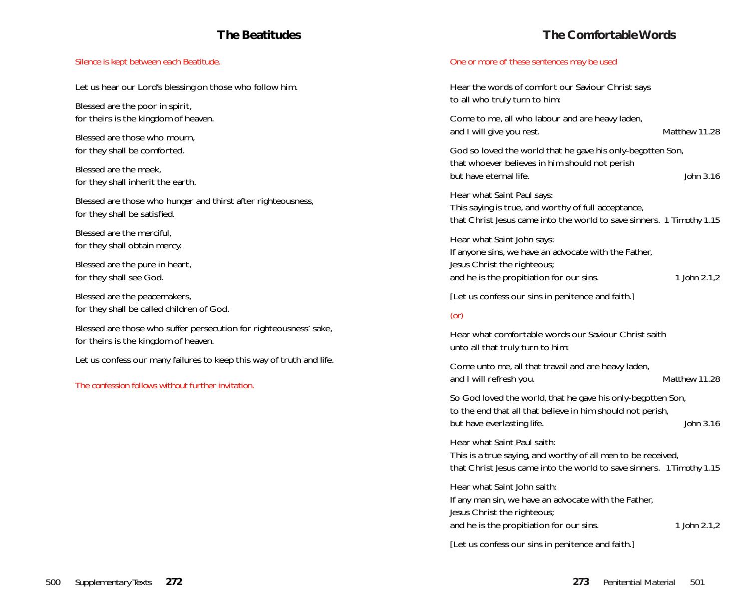# **The Beatitudes**

#### *Silence is kept between each Beatitude.*

Let us hear our Lord's blessing on those who follow him.

Blessed are the poor in spirit, for theirs is the kingdom of heaven.

Blessed are those who mourn, for they shall be comforted.

Blessed are the meek, for they shall inherit the earth.

Blessed are those who hunger and thirst after righteousness, for they shall be satisfied.

Blessed are the merciful, for they shall obtain mercy.

Blessed are the pure in heart, for they shall see God.

Blessed are the peacemakers, for they shall be called children of God.

Blessed are those who suffer persecution for righteousness' sake, for theirs is the kingdom of heaven.

Let us confess our many failures to keep this way of truth and life.

*The confession follows without further invitation.*

# **The Comfortable Words**

#### *One or more of these sentences may be used*

Hear the words of comfort our Saviour Christ says to all who truly turn to him:

Come to me, all who labour and are heavy laden, and I will give you rest. *Matthew 11.28*

God so loved the world that he gave his only-begotten Son, that whoever believes in him should not perish but have eternal life. *John 3.16*

Hear what Saint Paul says: This saying is true, and worthy of full acceptance, that Christ Jesus came into the world to save sinners. *1 Timothy 1.15*

Hear what Saint John says: If anyone sins, we have an advocate with the Father, Jesus Christ the righteous; and he is the propitiation for our sins. *1 John 2.1,2*

[Let us confess our sins in penitence and faith.]

#### *(or)*

Hear what comfortable words our Saviour Christ saith unto all that truly turn to him:

Come unto me, all that travail and are heavy laden, and I will refresh you. *Matthew 11.28*

So God loved the world, that he gave his only-begotten Son, to the end that all that believe in him should not perish, but have everlasting life. *John 3.16*

Hear what Saint Paul saith: This is a true saying, and worthy of all men to be received, that Christ Jesus came into the world to save sinners. *1Timothy 1.15*

Hear what Saint John saith: If any man sin, we have an advocate with the Father, Jesus Christ the righteous; and he is the propitiation for our sins. *1 John 2.1,2*

[Let us confess our sins in penitence and faith.]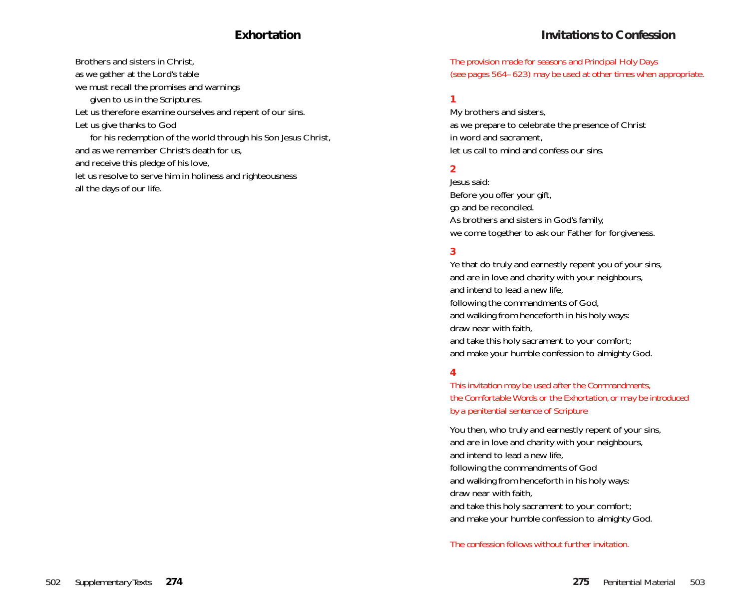# **Exhortation**

Brothers and sisters in Christ, as we gather at the Lord's table we must recall the promises and warnings given to us in the Scriptures. Let us therefore examine ourselves and repent of our sins. Let us give thanks to God for his redemption of the world through his Son Jesus Christ, and as we remember Christ's death for us, and receive this pledge of his love, let us resolve to serve him in holiness and righteousness all the days of our life.

# **Invitations to Confession**

*The provision made for seasons and Principal Holy Days (see pages 564–623) may be used at other times when appropriate.*

# **1**

My brothers and sisters, as we prepare to celebrate the presence of Christ in word and sacrament, let us call to mind and confess our sins.

#### **2**

Jesus said: Before you offer your gift, go and be reconciled. As brothers and sisters in God's family, we come together to ask our Father for forgiveness.

#### **3**

Ye that do truly and earnestly repent you of your sins, and are in love and charity with your neighbours, and intend to lead a new life, following the commandments of God, and walking from henceforth in his holy ways: draw near with faith, and take this holy sacrament to your comfort; and make your humble confession to almighty God.

#### **4**

*This invitation may be used after the Commandments, the Comfortable Words or the Exhortation, or may be introduced by a penitential sentence of Scripture*

You then, who truly and earnestly repent of your sins, and are in love and charity with your neighbours, and intend to lead a new life, following the commandments of God and walking from henceforth in his holy ways: draw near with faith, and take this holy sacrament to your comfort; and make your humble confession to almighty God.

*The confession follows without further invitation.*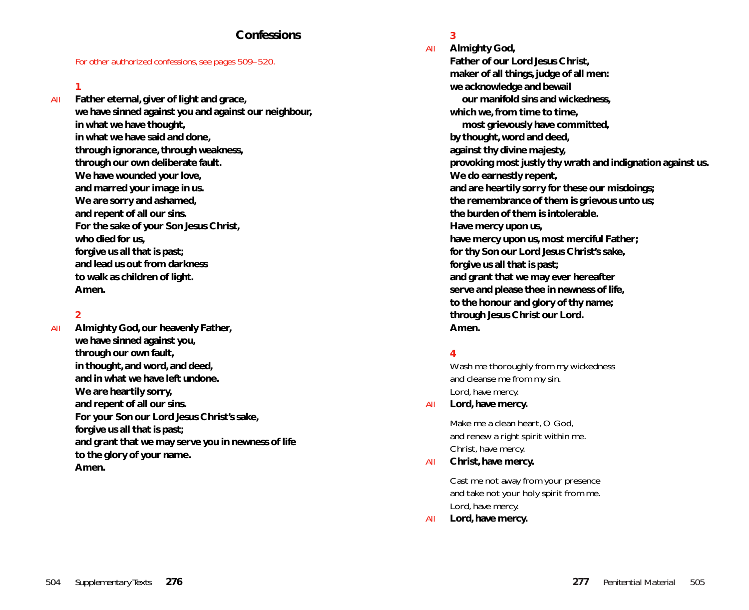# **Confessions**

#### *For other authorized confessions, see pages 509–520.*

#### **1**

*All* **Father eternal, giver of light and grace, we have sinned against you and against our neighbour, in what we have thought, in what we have said and done, through ignorance, through weakness, through our own deliberate fault. We have wounded your love, and marred your image in us. We are sorry and ashamed, and repent of all our sins. For the sake of your Son Jesus Christ, who died for us, forgive us all that is past; and lead us out from darkness to walk as children of light. Amen.**

#### **2**

**All Almighty God, our heavenly Father, we have sinned against you, through our own fault, in thought, and word, and deed, and in what we have left undone. We are heartily sorry, and repent of all our sins. For your Son our Lord Jesus Christ's sake, forgive us all that is past; and grant that we may serve you in newness of life to the glory of your name. Amen.**

#### **3**

*All* **Almighty God, Father of our Lord Jesus Christ, maker of all things, judge of all men: we acknowledge and bewail our manifold sins and wickedness, which we, from time to time, most grievously have committed, by thought, word and deed, against thy divine majesty, provoking most justly thy wrath and indignation against us. We do earnestly repent, and are heartily sorry for these our misdoings; the remembrance of them is grievous unto us; the burden of them is intolerable. Have mercy upon us, have mercy upon us, most merciful Father; for thy Son our Lord Jesus Christ's sake, forgive us all that is past; and grant that we may ever hereafter serve and please thee in newness of life, to the honour and glory of thy name; through Jesus Christ our Lord. Amen.**

### **4**

Wash me thoroughly from my wickedness and cleanse me from my sin. Lord, have mercy.

*All* **Lord, have mercy.**

Make me a clean heart, O God, and renew a right spirit within me. Christ, have mercy.

#### *All* **Christ, have mercy.**

Cast me not away from your presence and take not your holy spirit from me. Lord, have mercy.

*All* **Lord, have mercy.**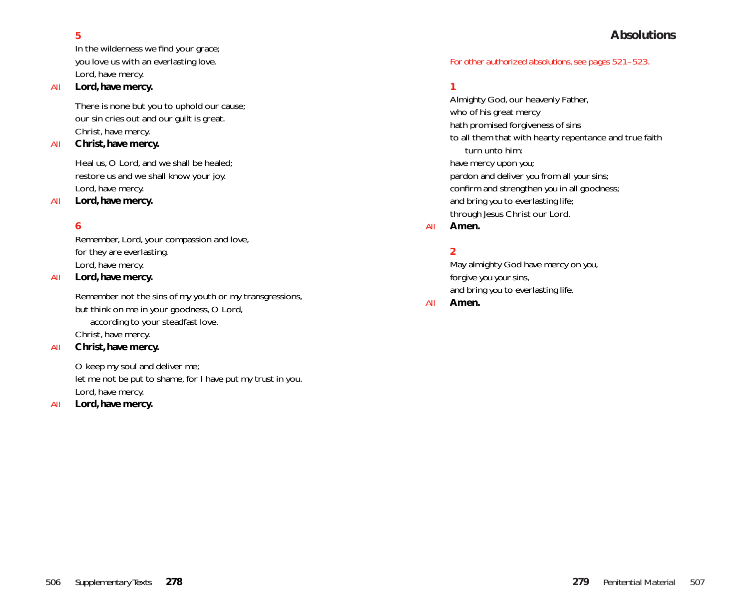**5**

In the wilderness we find your grace; you love us with an everlasting love. Lord, have mercy.

#### *All* **Lord, have mercy.**

There is none but you to uphold our cause; our sin cries out and our guilt is great. Christ, have mercy.

#### *All* **Christ, have mercy.**

Heal us, O Lord, and we shall be healed; restore us and we shall know your joy. Lord, have mercy.

*All* **Lord, have mercy.**

# **6**

Remember, Lord, your compassion and love, for they are everlasting. Lord, have mercy.

### *All* **Lord, have mercy.**

Remember not the sins of my youth or my transgressions, but think on me in your goodness, O Lord, according to your steadfast love. Christ, have mercy.

#### *All* **Christ, have mercy.**

O keep my soul and deliver me; let me not be put to shame, for I have put my trust in you. Lord, have mercy.

#### *All* **Lord, have mercy.**

**Absolutions**

# **1**

Almighty God, our heavenly Father, who of his great mercy hath promised forgiveness of sins to all them that with hearty repentance and true faith turn unto him: have mercy upon *you*; pardon and deliver *you* from all *your* sins; confirm and strengthen *you* in all goodness; and bring *you* to everlasting life; through Jesus Christ our Lord. *All* **Amen.**

*For other authorized absolutions, see pages 521–523.*

### **2**

May almighty God have mercy on *you*, forgive *you your* sins, and bring *you* to everlasting life.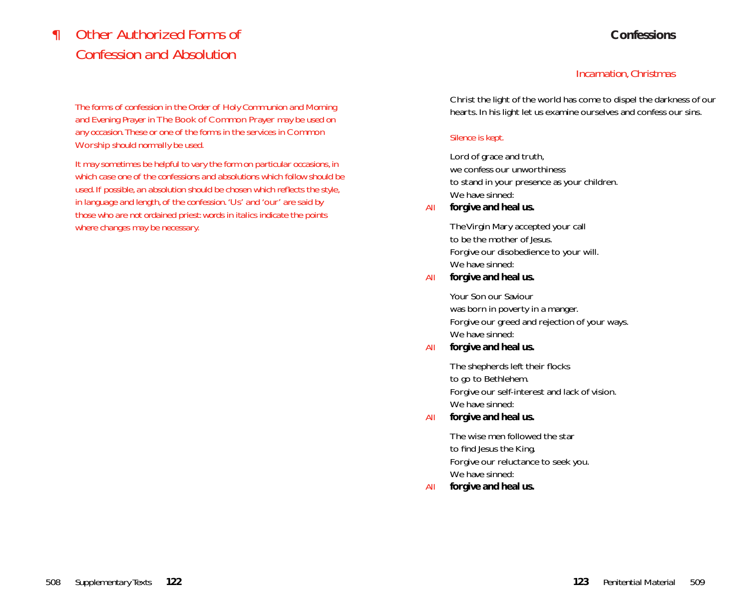# *¶ Other Authorized Forms of Confession and Absolution*

*The forms of confession in the Order of Holy Communion and Morning and Evening Prayer in* The Book of Common Prayer *may be used on any occasion. These or one of the forms in the services in* Common Worship *should normally be used.*

*It may sometimes be helpful to vary the form on particular occasions, in which case one of the confessions and absolutions which follow should be used. If possible, an absolution should be chosen which reflects the style, in language and length, of the confession.* 'Us' *and* 'our' *are said by those who are not ordained priest: words in italics indicate the points where changes may be necessary.*

# **Confessions**

# *Incarnation, Christmas*

Christ the light of the world has come to dispel the darkness of our hearts. In his light let us examine ourselves and confess our sins.

#### *Silence is kept.*

Lord of grace and truth, we confess our unworthiness to stand in your presence as your children. We have sinned:

#### *All* **forgive and heal us.**

The Virgin Mary accepted your call to be the mother of Jesus. Forgive our disobedience to your will. We have sinned:

#### *All* **forgive and heal us.**

Your Son our Saviour was born in poverty in a manger. Forgive our greed and rejection of your ways. We have sinned:

#### *All* **forgive and heal us.**

The shepherds left their flocks to go to Bethlehem. Forgive our self-interest and lack of vision. We have sinned:

### *All* **forgive and heal us.**

The wise men followed the star to find Jesus the King. Forgive our reluctance to seek you. We have sinned:

### *All* **forgive and heal us.**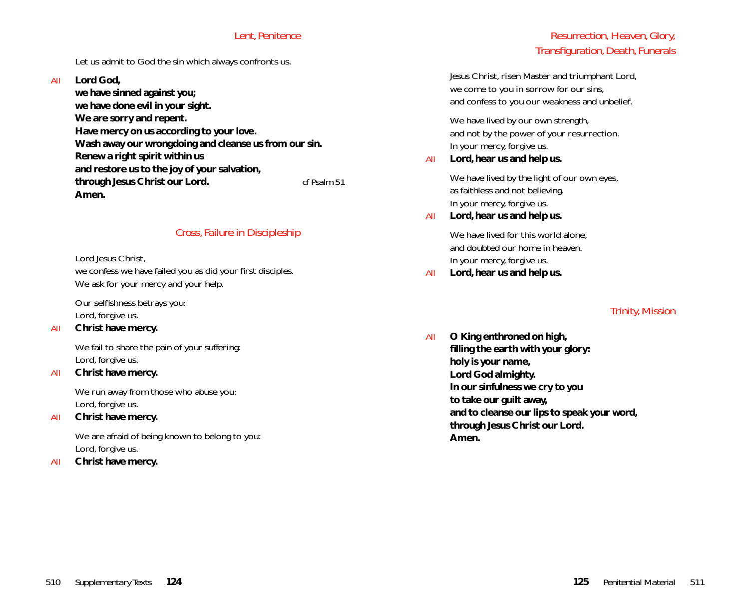### *Lent, Penitence*

Let us admit to God the sin which always confronts us.

*All* **Lord God,**

**we have sinned against you; we have done evil in your sight. We are sorry and repent. Have mercy on us according to your love. Wash away our wrongdoing and cleanse us from our sin. Renew a right spirit within us and restore us to the joy of your salvation, through Jesus Christ our Lord.** *cf Psalm 51* **Amen.**

# *Cross, Failure in Discipleship*

Lord Jesus Christ,

we confess we have failed you as did your first disciples. We ask for your mercy and your help.

Our selfishness betrays you: Lord, forgive us.

#### *All* **Christ have mercy.**

We fail to share the pain of your suffering: Lord, forgive us.

#### *All* **Christ have mercy.**

We run away from those who abuse you: Lord, forgive us.

#### *All* **Christ have mercy.**

We are afraid of being known to belong to you: Lord, forgive us.

#### *All* **Christ have mercy.**

# *Resurrection, Heaven, Glory, Transfiguration, Death, Funerals*

Jesus Christ, risen Master and triumphant Lord, we come to you in sorrow for our sins, and confess to you our weakness and unbelief.

We have lived by our own strength, and not by the power of your resurrection. In your mercy, forgive us.

*All* **Lord, hear us and help us.**

We have lived by the light of our own eyes, as faithless and not believing. In your mercy, forgive us.

*All* **Lord, hear us and help us.**

We have lived for this world alone, and doubted our home in heaven. In your mercy, forgive us.

*All* **Lord, hear us and help us.**

# *Trinity, Mission*

*All* **O King enthroned on high, filling the earth with your glory: holy is your name, Lord God almighty. In our sinfulness we cry to you to take our guilt away, and to cleanse our lips to speak your word, through Jesus Christ our Lord. Amen.**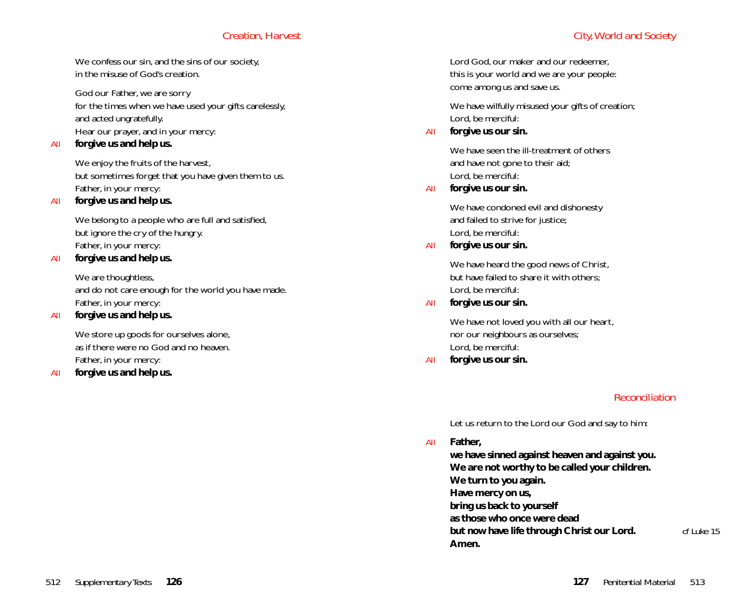# *City, World and Society*

# *Creation, Harvest*

We confess our sin, and the sins of our society, in the misuse of God's creation.

God our Father, we are sorry for the times when we have used your gifts carelessly, and acted ungratefully. Hear our prayer, and in your mercy:

#### *All* **forgive us and help us.**

We enjoy the fruits of the harvest, but sometimes forget that you have given them to us. Father, in your mercy:

#### *All* **forgive us and help us.**

We belong to a people who are full and satisfied, but ignore the cry of the hungry. Father, in your mercy:

#### *All* **forgive us and help us.**

We are thoughtless, and do not care enough for the world you have made. Father, in your mercy:

# *All* **forgive us and help us.**

We store up goods for ourselves alone, as if there were no God and no heaven. Father, in your mercy:

#### *All* **forgive us and help us.**

Lord God, our maker and our redeemer, this is your world and we are your people: come among us and save us.

We have wilfully misused your gifts of creation; Lord, be merciful:

*All* **forgive us our sin.**

We have seen the ill-treatment of others and have not gone to their aid; Lord, be merciful:

#### *All* **forgive us our sin.**

We have condoned evil and dishonesty and failed to strive for justice; Lord, be merciful:

*All* **forgive us our sin.**

We have heard the good news of Christ, but have failed to share it with others; Lord, be merciful:

#### *All* **forgive us our sin.**

We have not loved you with all our heart, nor our neighbours as ourselves; Lord, be merciful:

*All* **forgive us our sin.**

# *Reconciliation*

Let us return to the Lord our God and say to him:

*All* **Father,**

**we have sinned against heaven and against you. We are not worthy to be called your children. We turn to you again. Have mercy on us, bring us back to yourself as those who once were dead but now have life through Christ our Lord.** *cf* Luke 15 **Amen.**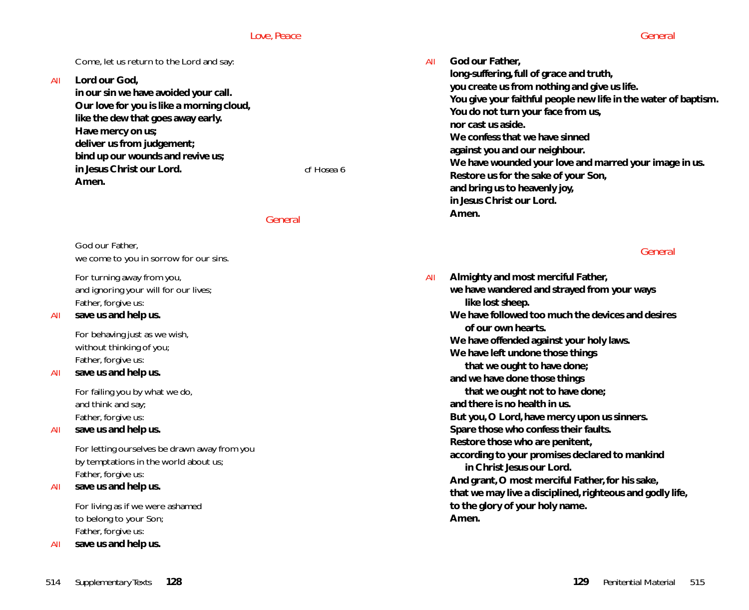## *Love, Peace*

*General*

|     | Come, let us return to the Lord and say:                                                                                                                                                                                                                                |            | All | God our Father,                                                                                                                                                                                                                                                                                                                                                                                                               |
|-----|-------------------------------------------------------------------------------------------------------------------------------------------------------------------------------------------------------------------------------------------------------------------------|------------|-----|-------------------------------------------------------------------------------------------------------------------------------------------------------------------------------------------------------------------------------------------------------------------------------------------------------------------------------------------------------------------------------------------------------------------------------|
| All | Lord our God.<br>in our sin we have avoided your call.<br>Our love for you is like a morning cloud,<br>like the dew that goes away early.<br>Have mercy on us;<br>deliver us from judgement;<br>bind up our wounds and revive us;<br>in Jesus Christ our Lord.<br>Amen. | cf Hosea 6 |     | long-suffering, full of grace and truth,<br>you create us from nothing and give us life.<br>You give your faithful people new life in the water of baptism<br>You do not turn your face from us,<br>nor cast us aside.<br>We confess that we have sinned<br>against you and our neighbour.<br>We have wounded your love and marred your image in us.<br>Restore us for the sake of your Son,<br>and bring us to heavenly joy, |
|     |                                                                                                                                                                                                                                                                         |            |     | in Jesus Christ our Lord.                                                                                                                                                                                                                                                                                                                                                                                                     |

**Amen.**

#### *General*

God our Father, we come to you in sorrow for our sins.

For turning away from you, and ignoring your will for our lives; Father, forgive us:

#### *All* **save us and help us.**

For behaving just as we wish, without thinking of you; Father, forgive us:

#### *All* **save us and help us.**

For failing you by what we do, and think and say; Father, forgive us:

#### *All* **save us and help us.**

For letting ourselves be drawn away from you by temptations in the world about us; Father, forgive us:

## *All* **save us and help us.**

For living as if we were ashamed to belong to your Son; Father, forgive us:

*All* **save us and help us.**

# *General*

| AII | Almighty and most merciful Father,                        |
|-----|-----------------------------------------------------------|
|     | we have wandered and strayed from your ways               |
|     | like lost sheep.                                          |
|     | We have followed too much the devices and desires         |
|     | of our own hearts                                         |
|     | We have offended against your holy laws.                  |
|     | We have left undone those things                          |
|     | that we ought to have done;                               |
|     | and we have done those things                             |
|     | that we ought not to have done;                           |
|     | and there is no health in us.                             |
|     | But you, O Lord, have mercy upon us sinners.              |
|     | Spare those who confess their faults.                     |
|     | Restore those who are penitent,                           |
|     | according to your promises declared to mankind            |
|     | in Christ Jesus our Lord.                                 |
|     | And grant, O most merciful Father, for his sake,          |
|     | that we may live a disciplined, righteous and godly life, |
|     | to the glory of your holy name.                           |
|     | Amen.                                                     |
|     |                                                           |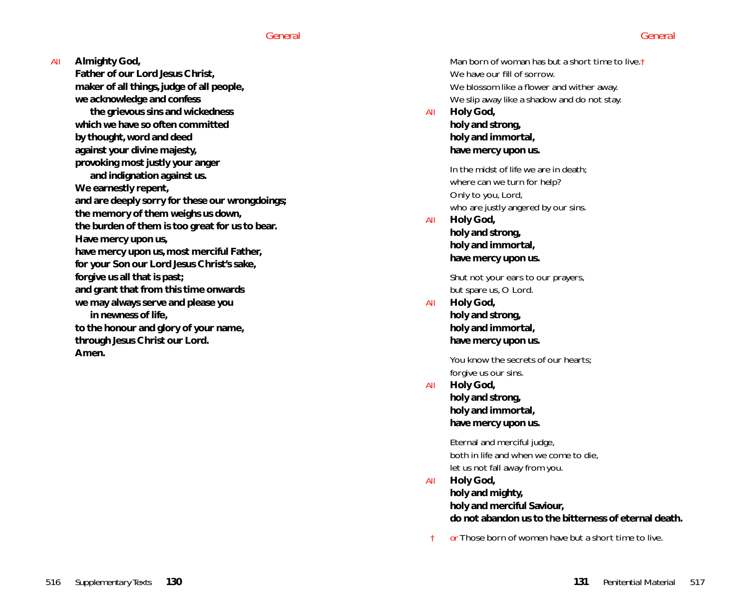### *General*

*General*

*All* **Almighty God, Father of our Lord Jesus Christ, maker of all things, judge of all people, we acknowledge and confess the grievous sins and wickedness which we have so often committed by thought, word and deed against your divine majesty, provoking most justly your anger and indignation against us. We earnestly repent, and are deeply sorry for these our wrongdoings; the memory of them weighs us down, the burden of them is too great for us to bear. Have mercy upon us, have mercy upon us, most merciful Father, for your Son our Lord Jesus Christ's sake, forgive us all that is past; and grant that from this time onwards we may always serve and please you in newness of life, to the honour and glory of your name, through Jesus Christ our Lord. Amen.**

Man born of woman has but a short time to live to We have our fill of sorrow. We blossom like a flower and wither away. We slip away like a shadow and do not stay. *All* **Holy God, holy and strong, holy and immortal, have mercy upon us.** In the midst of life we are in death; where can we turn for help? Only to you, Lord, who are justly angered by our sins. *All* **Holy God, holy and strong, holy and immortal, have mercy upon us.** Shut not your ears to our prayers, but spare us, O Lord. *All* **Holy God, holy and strong, holy and immortal, have mercy upon us.** You know the secrets of our hearts: forgive us our sins. *All* **Holy God, holy and strong, holy and immortal, have mercy upon us.** Eternal and merciful judge, both in life and when we come to die, let us not fall away from you. *All* **Holy God, holy and mighty, holy and merciful Saviour, do not abandon us to the bitterness of eternal death.** † *or* Those born of women have but a short time to live.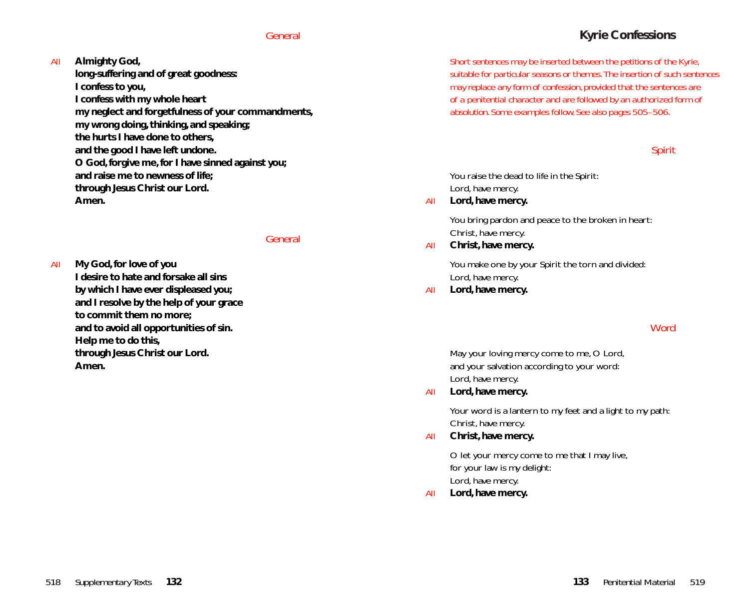# *General*

# **Kyrie Confessions**

*All* **Almighty God, long-suffering and of great goodness: I confess to you, I confess with my whole heart my neglect and forgetfulness of your commandments, my wrong doing, thinking, and speaking; the hurts I have done to others, and the good I have left undone. O God, forgive me, for I have sinned against you; and raise me to newness of life; through Jesus Christ our Lord. Amen.**

#### *General*

*All* **My God, for love of you I desire to hate and forsake all sins by which I have ever displeased you; and I resolve by the help of your grace to commit them no more; and to avoid all opportunities of sin. Help me to do this, through Jesus Christ our Lord. Amen.**

*Short sentences may be inserted between the petitions of the Kyrie, suitable for particular seasons or themes. The insertion of such sentences may replace any form of confession, provided that the sentences are of a penitential character and are followed by an authorized form of absolution. Some examples follow. See also pages 505–506.*

#### *Spirit*

You raise the dead to life in the Spirit: Lord, have mercy.

#### *All* **Lord, have mercy.**

You bring pardon and peace to the broken in heart: Christ, have mercy.

*All* **Christ, have mercy.**

You make one by your Spirit the torn and divided: Lord, have mercy.

*All* **Lord, have mercy.**

### *Word*

May your loving mercy come to me, O Lord, and your salvation according to your word: Lord, have mercy.

#### *All* **Lord, have mercy.**

Your word is a lantern to my feet and a light to my path: Christ, have mercy.

*All* **Christ, have mercy.**

O let your mercy come to me that I may live, for your law is my delight: Lord, have mercy.

*All* **Lord, have mercy.**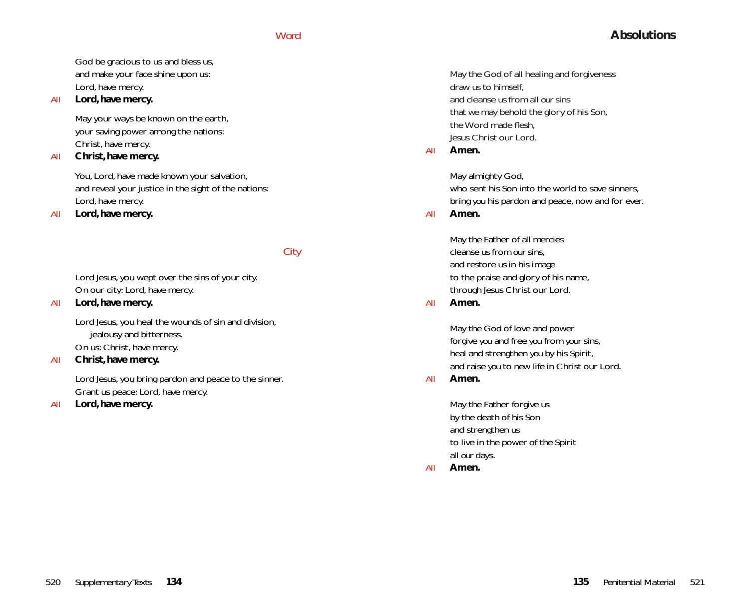# *Word*

God be gracious to us and bless us, and make your face shine upon us: Lord, have mercy.

#### *All* **Lord, have mercy.**

May your ways be known on the earth, your saving power among the nations: Christ, have mercy.

*All* **Christ, have mercy.**

You, Lord, have made known your salvation, and reveal your justice in the sight of the nations: Lord, have mercy.

*All* **Lord, have mercy.**

# *City*

Lord Jesus, you wept over the sins of your city. On our city: Lord, have mercy.

*All* **Lord, have mercy.**

Lord Jesus, you heal the wounds of sin and division, jealousy and bitterness. On us: Christ, have mercy.

### *All* **Christ, have mercy.**

Lord Jesus, you bring pardon and peace to the sinner. Grant us peace: Lord, have mercy.

*All* **Lord, have mercy.**

# **Absolutions**

May the God of all healing and forgiveness draw *us* to himself, and cleanse *us* from all *our* sins that *we* may behold the glory of his Son, the Word made flesh, Jesus Christ our Lord.

*All* **Amen.**

May almighty God, who sent his Son into the world to save sinners, bring *you* his pardon and peace, now and for ever.

*All* **Amen.**

May the Father of all mercies cleanse *us* from *our* sins, and restore *us* in his image to the praise and glory of his name, through Jesus Christ our Lord.

*All* **Amen.**

May the God of love and power forgive *you* and free *you* from *your* sins, heal and strengthen *you* by his Spirit, and raise *you* to new life in Christ our Lord.

*All* **Amen.**

May the Father forgive *us* by the death of his Son and strengthen *us* to live in the power of the Spirit all *our* days.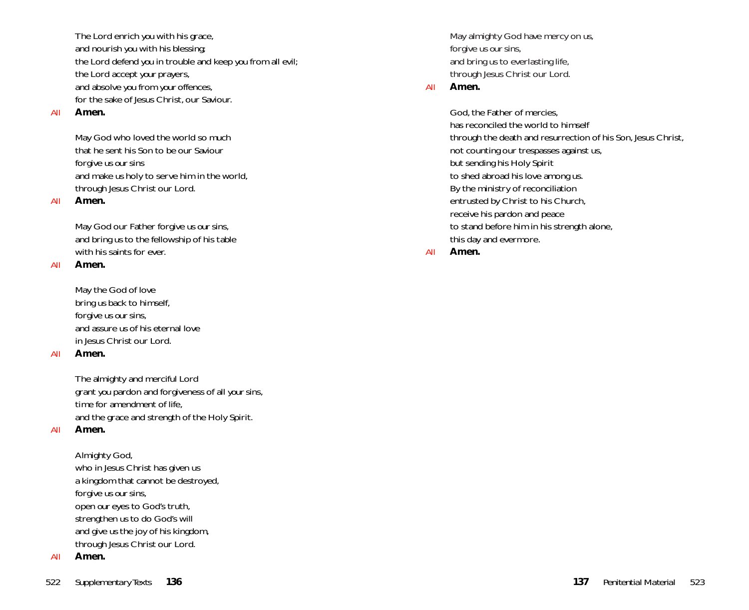#### 522 *Supplementary Texts* **136**

Almighty God,

who in Jesus Christ has given us a kingdom that cannot be destroyed, forgive *us our* sins, open *our* eyes to God's truth, strengthen *us* to do God's will and give *us* the joy of his kingdom, through Jesus Christ our Lord.

# *All* **Amen.**

*All* **Amen.**

The almighty and merciful Lord grant *you* pardon and forgiveness of all *your* sins, time for amendment of life, and the grace and strength of the Holy Spirit.

# *All* **Amen.**

May the God of love bring *us* back to himself, forgive *us our* sins, and assure *us* of his eternal love in Jesus Christ our Lord.

### *All* **Amen.**

May God our Father forgive *us* our sins, and bring *us* to the fellowship of his table with his saints for ever.

# *All* **Amen.**

May God who loved the world so much that he sent his Son to be our Saviour forgive *us our* sins and make *us* holy to serve him in the world, through Jesus Christ our Lord.

# *All* **Amen.**

The Lord enrich *you* with his grace, and nourish *you* with his blessing; the Lord defend *you* in trouble and keep *you* from all evil; the Lord accept *your* prayers, and absolve *you* from *your* offences, for the sake of Jesus Christ, our Saviour.

# May almighty God have mercy on *us*, forgive *us our* sins, and bring *us* to everlasting life, through Jesus Christ our Lord.

# *All* **Amen.**

God, the Father of mercies, has reconciled the world to himself through the death and resurrection of his Son, Jesus Christ, not counting our trespasses against us, but sending his Holy Spirit to shed abroad his love among us. By the ministry of reconciliation entrusted by Christ to his Church, receive his pardon and peace to stand before him in his strength alone, this day and evermore. *All* **Amen.**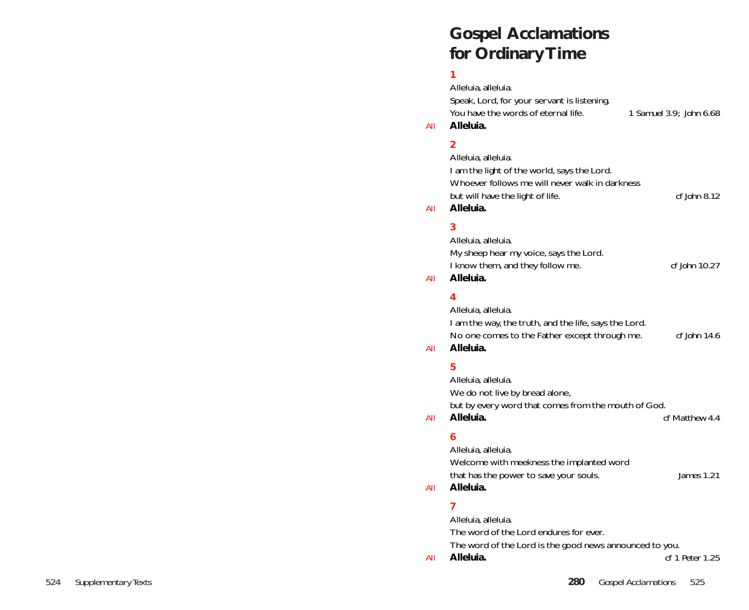# **Gospel Acclamations for Ordinary Time**

# **1**

*All* **Alleluia.**

*All* **Alleluia.**

*All* **Alleluia.**

| Alleluia, alleluia.<br>Speak, Lord, for your servant is listening.<br>You have the words of eternal life.<br>Alleluia. | 1 Samuel $3.9$ ; John $6.68$ |  |
|------------------------------------------------------------------------------------------------------------------------|------------------------------|--|
|                                                                                                                        |                              |  |
| Alleluia, alleluia.                                                                                                    |                              |  |
| I am the light of the world, says the Lord.                                                                            |                              |  |
| Whoever follows me will never walk in darkness                                                                         |                              |  |
| but will have the light of life.                                                                                       | $cf$ lohn 8.12               |  |
| Alleluia.                                                                                                              |                              |  |
| ີ                                                                                                                      |                              |  |

#### **3**

| cf John 10.27 |
|---------------|
|               |
|               |

#### **4**

| Alleluia, alleluia.                                   |                |
|-------------------------------------------------------|----------------|
| I am the way, the truth, and the life, says the Lord. |                |
| No one comes to the Father except through me.         | $cf$ John 14.6 |
|                                                       |                |

#### *All* **Alleluia.**

#### **5**

Alleluia, alleluia. We do not live by bread alone, but by every word that comes from the mouth of God. *All* **Alleluia.** *cf Matthew 4.4*

### **6**

| Alleluia, alleluia.                      |            |
|------------------------------------------|------------|
| Welcome with meekness the implanted word |            |
| that has the power to save your souls.   | James 1.21 |
| Alleluia.                                |            |

# **7**

*All* **Alleluia.**

Alleluia, alleluia. The word of the Lord endures for ever. The word of the Lord is the good news announced to you.<br>**Alleluia.** cf 1 *All* **Alleluia.** *cf 1 Peter 1.25*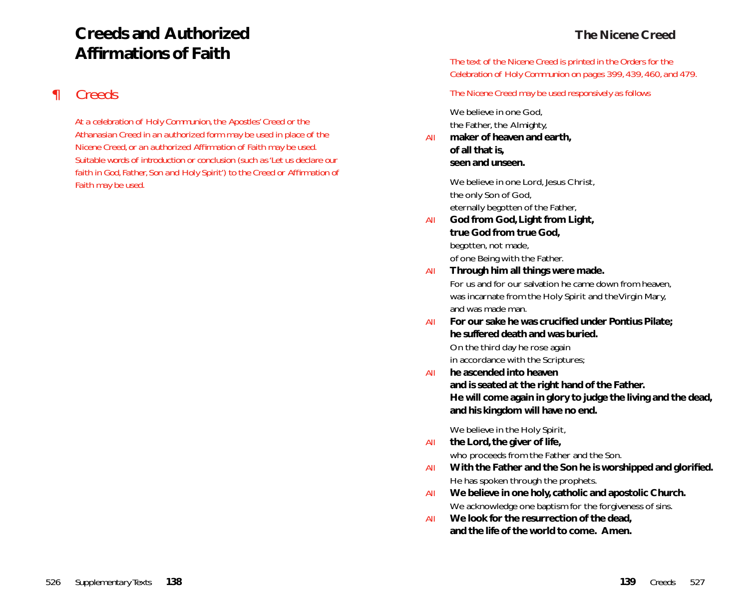# **Creeds and Authorized Affirmations of Faith**

# ¶ *Creeds*

*At a celebration of Holy Communion, the Apostles' Creed or the Athanasian Creed in an authorized form may be used in place of the Nicene Creed, or an authorized Affirmation of Faith may be used. Suitable words of introduction or conclusion (such as 'Let us declare our faith in God, Father, Son and Holy Spirit') to the Creed or Affirmation of Faith may be used.*

# **The Nicene Creed**

*The text of the Nicene Creed is printed in the Orders for the Celebration of Holy Communion on pages 399, 439, 460, and 479.*

*The Nicene Creed may be used responsively as follows*

We believe in one God. the Father, the Almighty,

*All* **maker of heaven and earth, of all that is, seen and unseen.**

> We believe in one Lord, Jesus Christ, the only Son of God, eternally begotten of the Father,

- *All* **God from God, Light from Light, true God from true God,** begotten, not made, of one Being with the Father.
- *All* **Through him all things were made.** For us and for our salvation he came down from heaven, was incarnate from the Holy Spirit and the Virgin Mary, and was made man.
- *All* **For our sake he was crucified under Pontius Pilate; he suffered death and was buried.** On the third day he rose again in accordance with the Scriptures;
- *All* **he ascended into heaven and is seated at the right hand of the Father. He will come again in glory to judge the living and the dead, and his kingdom will have no end.**

We believe in the Holy Spirit,

- *All* **the Lord, the giver of life,** who proceeds from the Father and the Son.
- *All* **With the Father and the Son he is worshipped and glorified.** He has spoken through the prophets.
- *All* **We believe in one holy, catholic and apostolic Church.** We acknowledge one baptism for the forgiveness of sins.
- *All* **We look for the resurrection of the dead, and the life of the world to come. Amen.**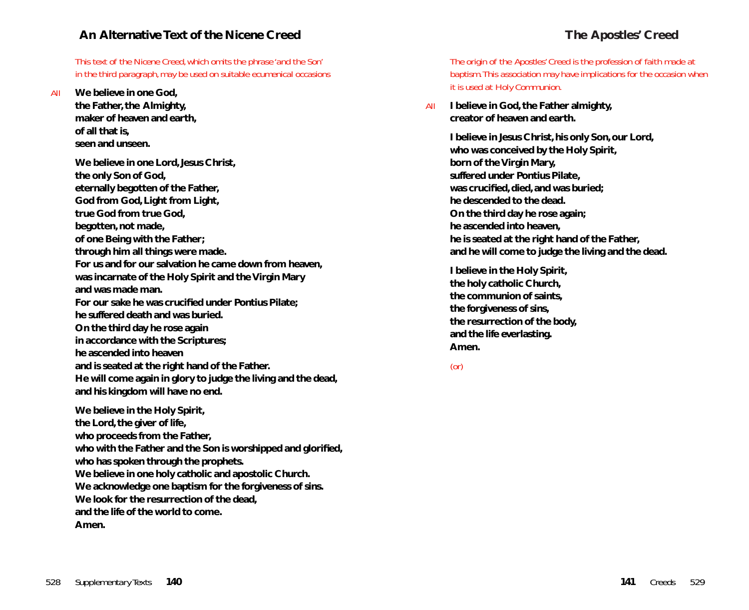# **An Alternative Text of the Nicene Creed**

# **The Apostles' Creed**

*This text of the Nicene Creed, which omits the phrase 'and the Son' in the third paragraph, may be used on suitable ecumenical occasions*

*All* **We believe in one God,**

**the Father, the Almighty, maker of heaven and earth, of all that is, seen and unseen.**

**We believe in one Lord, Jesus Christ, the only Son of God, eternally begotten of the Father, God from God, Light from Light, true God from true God, begotten, not made, of one Being with the Father; through him all things were made. For us and for our salvation he came down from heaven, was incarnate of the Holy Spirit and the Virgin Mary and was made man. For our sake he was crucified under Pontius Pilate; he suffered death and was buried. On the third day he rose again in accordance with the Scriptures; he ascended into heaven and is seated at the right hand of the Father. He will come again in glory to judge the living and the dead, and his kingdom will have no end.**

**We believe in the Holy Spirit, the Lord, the giver of life, who proceeds from the Father, who with the Father and the Son is worshipped and glorified, who has spoken through the prophets. We believe in one holy catholic and apostolic Church. We acknowledge one baptism for the forgiveness of sins. We look for the resurrection of the dead, and the life of the world to come. Amen.**

*The origin of the Apostles' Creed is the profession of faith made at baptism. This association may have implications for the occasion when it is used at Holy Communion.*

*All* **I believe in God, the Father almighty, creator of heaven and earth.**

> **I believe in Jesus Christ, his only Son, our Lord, who was conceived by the Holy Spirit, born of the Virgin Mary, suffered under Pontius Pilate, was crucified, died, and was buried; he descended to the dead. On the third day he rose again; he ascended into heaven, he is seated at the right hand of the Father, and he will come to judge the living and the dead.**

**I believe in the Holy Spirit, the holy catholic Church, the communion of saints, the forgiveness of sins, the resurrection of the body, and the life everlasting. Amen.**

*(or)*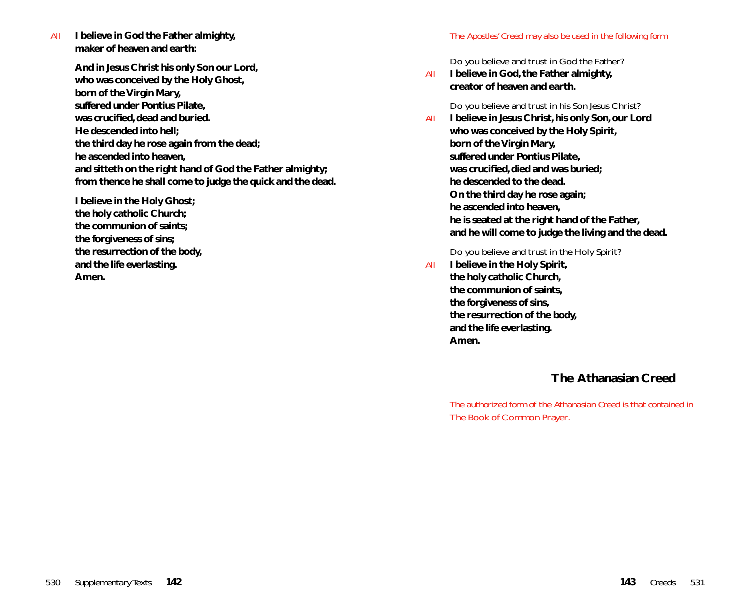**And in Jesus Christ his only Son our Lord, who was conceived by the Holy Ghost, born of the Virgin Mary, suffered under Pontius Pilate, was crucified, dead and buried. He descended into hell; the third day he rose again from the dead; he ascended into heaven, and sitteth on the right hand of God the Father almighty; from thence he shall come to judge the quick and the dead.**

**I believe in the Holy Ghost; the holy catholic Church; the communion of saints; the forgiveness of sins; the resurrection of the body, and the life everlasting. Amen.**

#### *The Apostles' Creed may also be used in the following form*

Do you believe and trust in God the Father?

*All* **I believe in God, the Father almighty, creator of heaven and earth.**

Do you believe and trust in his Son Jesus Christ?

*All* **I believe in Jesus Christ, his only Son, our Lord who was conceived by the Holy Spirit, born of the Virgin Mary, suffered under Pontius Pilate, was crucified, died and was buried; he descended to the dead. On the third day he rose again; he ascended into heaven, he is seated at the right hand of the Father, and he will come to judge the living and the dead.**

Do you believe and trust in the Holy Spirit?

*All* **I believe in the Holy Spirit, the holy catholic Church, the communion of saints, the forgiveness of sins, the resurrection of the body, and the life everlasting. Amen.**

# **The Athanasian Creed**

*The authorized form of the Athanasian Creed is that contained in*  The Book of Common Prayer*.*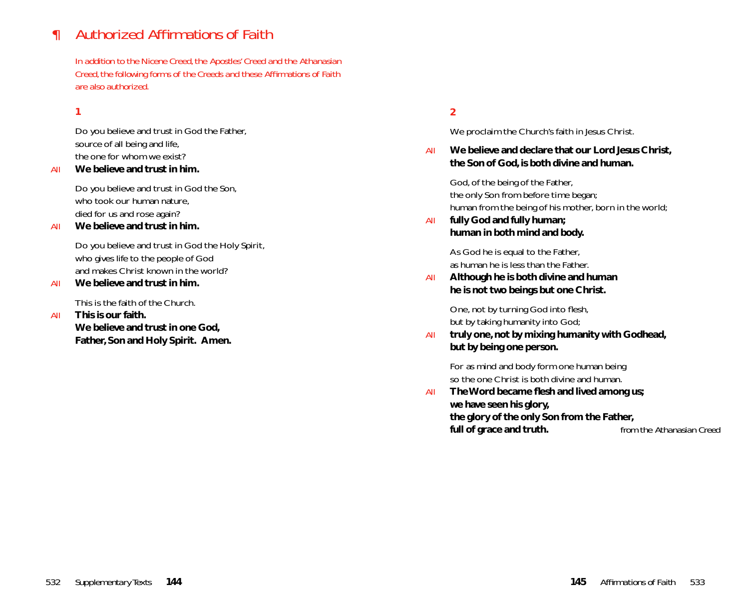# *¶ Authorized Affirmations of Faith*

*In addition to the Nicene Creed, the Apostles' Creed and the Athanasian Creed, the following forms of the Creeds and these Affirmations of Faith are also authorized.*

#### **1**

Do you believe and trust in God the Father, source of all being and life, the one for whom we exist?

#### *All* **We believe and trust in him.**

Do you believe and trust in God the Son, who took our human nature, died for us and rose again?

#### *All* **We believe and trust in him.**

Do you believe and trust in God the Holy Spirit, who gives life to the people of God and makes Christ known in the world?

#### *All* **We believe and trust in him.**

This is the faith of the Church.

*All* **This is our faith. We believe and trust in one God, Father, Son and Holy Spirit. Amen.**

#### **2**

We proclaim the Church's faith in Jesus Christ.

*All* **We believe and declare that our Lord Jesus Christ, the Son of God, is both divine and human.**

God, of the being of the Father, the only Son from before time began; human from the being of his mother, born in the world;

*All* **fully God and fully human; human in both mind and body.**

> As God he is equal to the Father, as human he is less than the Father.

*All* **Although he is both divine and human he is not two beings but one Christ.**

> One, not by turning God into flesh, but by taking humanity into God;

*All* **truly one, not by mixing humanity with Godhead, but by being one person.**

For as mind and body form one human being so the one Christ is both divine and human.

*All* **The Word became flesh and lived among us; we have seen his glory, the glory of the only Son from the Father, full of grace and truth.** *from the Athanasian Creed*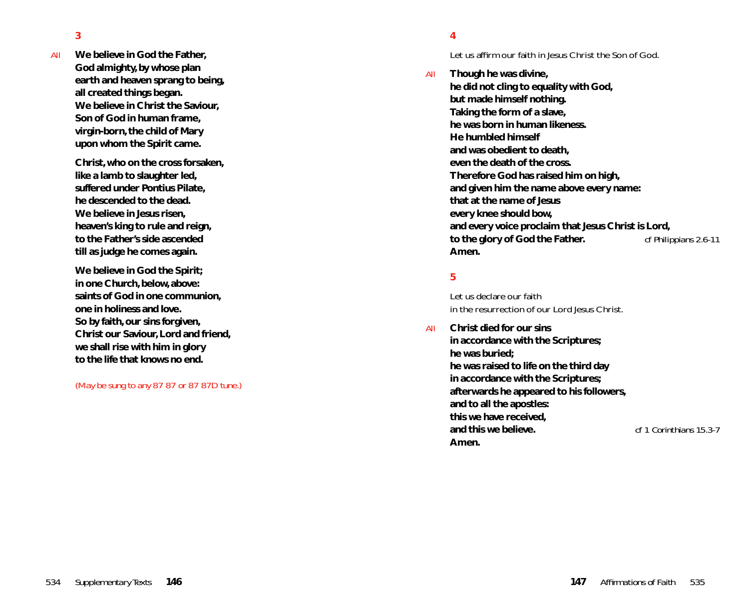**3**

*All* **We believe in God the Father, God almighty, by whose plan earth and heaven sprang to being, all created things began. We believe in Christ the Saviour, Son of God in human frame, virgin-born, the child of Mary upon whom the Spirit came.**

> **Christ, who on the cross forsaken, like a lamb to slaughter led, suffered under Pontius Pilate, he descended to the dead. We believe in Jesus risen, heaven's king to rule and reign, to the Father's side ascended till as judge he comes again.**

**We believe in God the Spirit; in one Church, below, above: saints of God in one communion, one in holiness and love. So by faith, our sins forgiven, Christ our Saviour, Lord and friend, we shall rise with him in glory to the life that knows no end.**

*(May be sung to any 87 87 or 87 87D tune.)* 

#### **4**

Let us affirm our faith in Jesus Christ the Son of God.

*All* **Though he was divine, he did not cling to equality with God, but made himself nothing. Taking the form of a slave, he was born in human likeness. He humbled himself and was obedient to death, even the death of the cross. Therefore God has raised him on high, and given him the name above every name: that at the name of Jesus every knee should bow, and every voice proclaim that Jesus Christ is Lord, to the glory of God the Father.** *cf Philippians 2.6-11* **Amen.**

# **5**

Let us declare our faith in the resurrection of our Lord Jesus Christ.

*All* **Christ died for our sins in accordance with the Scriptures; he was buried; he was raised to life on the third day in accordance with the Scriptures; afterwards he appeared to his followers, and to all the apostles: this we have received, and this we believe.** *cf 1 Corinthians 15.3-7* **Amen.**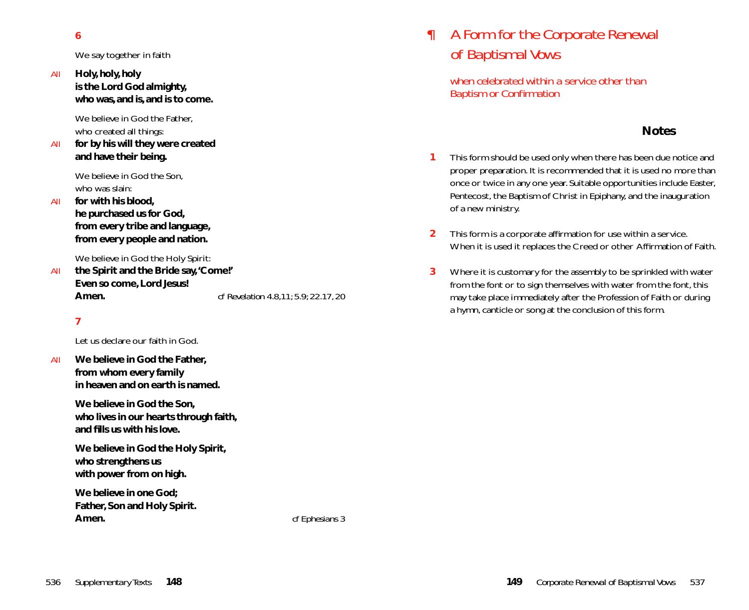**6**

We say together in faith

*All* **Holy, holy, holy is the Lord God almighty, who was, and is, and is to come.**

> We believe in God the Father who created all things:

*All* **for by his will they were created and have their being.**

> We believe in God the Son, who was slain:

*All* **for with his blood, he purchased us for God, from every tribe and language, from every people and nation.**

We believe in God the Holy Spirit:

*All* **the Spirit and the Bride say,'Come!' Even so come, Lord Jesus! Amen.** *cf Revelation 4.8,11; 5.9; 22.17, 20*

### **7**

Let us declare our faith in God.

*All* **We believe in God the Father, from whom every family in heaven and on earth is named.**

> **We believe in God the Son, who lives in our hearts through faith, and fills us with his love.**

**We believe in God the Holy Spirit, who strengthens us with power from on high.**

**We believe in one God; Father, Son and Holy Spirit. Amen.** *cf Ephesians 3*

# *¶ A Form for the Corporate Renewal of Baptismal Vows*

*when celebrated within a service other than Baptism or Confirmation*

#### **Notes**

- **1** This form should be used only when there has been due notice and proper preparation. It is recommended that it is used no more than once or twice in any one year. Suitable opportunities include Easter, Pentecost, the Baptism of Christ in Epiphany, and the inauguration of a new ministry.
- **2** This form is a corporate affirmation for use within a service. When it is used it replaces the Creed or other Affirmation of Faith.
- **3** Where it is customary for the assembly to be sprinkled with water from the font or to sign themselves with water from the font, this may take place immediately after the Profession of Faith or during a hymn, canticle or song at the conclusion of this form.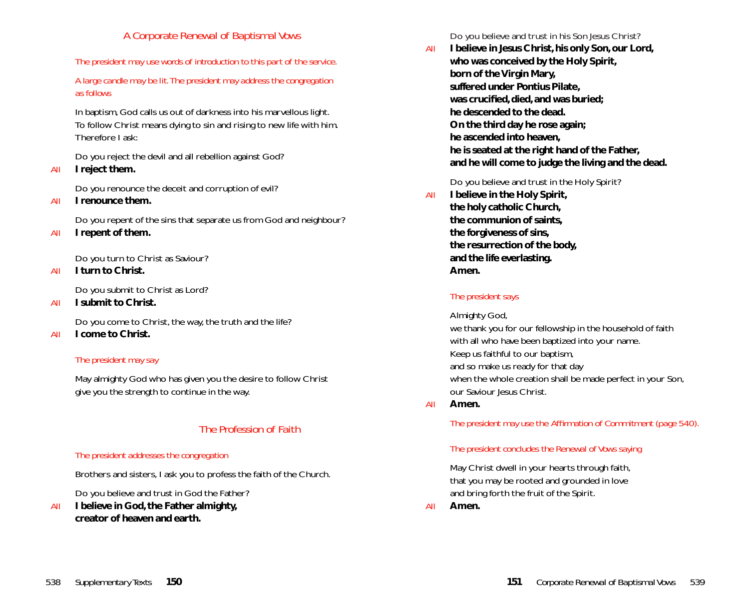# *A Corporate Renewal of Baptismal Vows*

*The president may use words of introduction to this part of the service.*

*A large candle may be lit. The president may address the congregation as follows*

In baptism, God calls us out of darkness into his marvellous light. To follow Christ means dying to sin and rising to new life with him. Therefore I ask:

Do you reject the devil and all rebellion against God?

#### *All* **I reject them.**

Do you renounce the deceit and corruption of evil?

*All* **I renounce them.**

Do you repent of the sins that separate us from God and neighbour?

*All* **I repent of them.**

Do you turn to Christ as Saviour?

*All* **I turn to Christ.**

Do you submit to Christ as Lord?

*All* **I submit to Christ.**

Do you come to Christ, the way, the truth and the life?

*All* **I come to Christ.**

#### *The president may say*

May almighty God who has given you the desire to follow Christ give you the strength to continue in the way.

# *The Profession of Faith*

#### *The president addresses the congregation*

Brothers and sisters, I ask you to profess the faith of the Church.

Do you believe and trust in God the Father?

*All* **I believe in God, the Father almighty, creator of heaven and earth.**

Do you believe and trust in his Son Jesus Christ?

*All* **I believe in Jesus Christ, his only Son, our Lord, who was conceived by the Holy Spirit, born of the Virgin Mary, suffered under Pontius Pilate, was crucified, died, and was buried; he descended to the dead. On the third day he rose again; he ascended into heaven, he is seated at the right hand of the Father, and he will come to judge the living and the dead.**

Do you believe and trust in the Holy Spirit?

*All* **I believe in the Holy Spirit, the holy catholic Church, the communion of saints, the forgiveness of sins, the resurrection of the body, and the life everlasting. Amen.**

#### *The president says*

Almighty God, we thank you for our fellowship in the household of faith with all who have been baptized into your name. Keep us faithful to our baptism, and so make us ready for that day when the whole creation shall be made perfect in your Son, our Saviour Jesus Christ.

*All* **Amen.**

*The president may use the Affirmation of Commitment (page 540).*

#### *The president concludes the Renewal of Vows saying*

May Christ dwell in your hearts through faith, that you may be rooted and grounded in love and bring forth the fruit of the Spirit.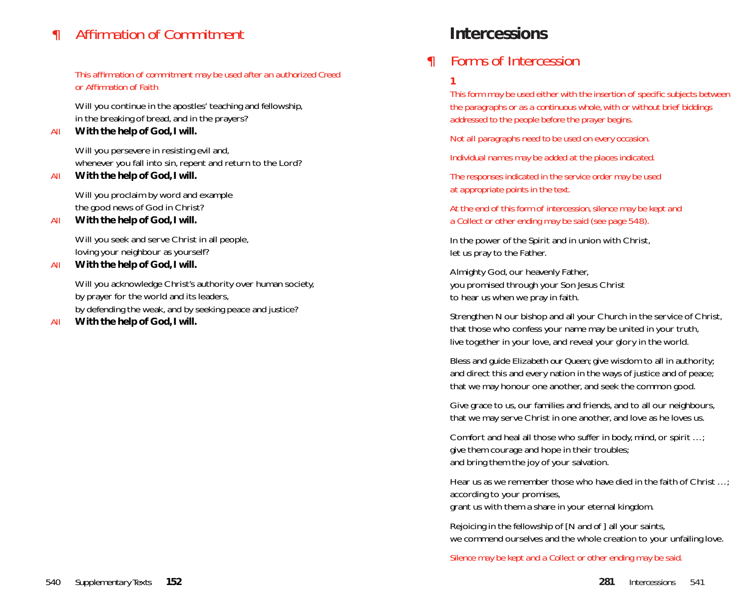# *¶ Affirmation of Commitment*

*This affirmation of commitment may be used after an authorized Creed or Affirmation of Faith*

Will you continue in the apostles' teaching and fellowship, in the breaking of bread, and in the prayers?

#### *All* **With the help of God, I will.**

Will you persevere in resisting evil and, whenever you fall into sin, repent and return to the Lord?

### *All* **With the help of God, I will.**

Will you proclaim by word and example the good news of God in Christ?

#### *All* **With the help of God, I will.**

Will you seek and serve Christ in all people, loving your neighbour as yourself?

#### *All* **With the help of God, I will.**

Will you acknowledge Christ's authority over human society, by prayer for the world and its leaders, by defending the weak, and by seeking peace and justice?

*All* **With the help of God, I will.**

# **Intercessions**

# *¶ Forms of Intercession*

# **1**

*This form may be used either with the insertion of specific subjects between the paragraphs or as a continuous whole, with or without brief biddings addressed to the people before the prayer begins.*

*Not all paragraphs need to be used on every occasion.*

*Individual names may be added at the places indicated.*

*The responses indicated in the service order may be used at appropriate points in the text.*

*At the end of this form of intercession, silence may be kept and a Collect or other ending may be said (see page 548).*

In the power of the Spirit and in union with Christ, let us pray to the Father.

Almighty God, our heavenly Father, you promised through your Son Jesus Christ to hear us when we pray in faith.

Strengthen *N* our bishop and all your Church in the service of Christ, that those who confess your name may be united in your truth, live together in your love, and reveal your glory in the world.

Bless and guide *Elizabeth our Queen*; give wisdom to all in authority; and direct this and every nation in the ways of justice and of peace; that we may honour one another, and seek the common good.

Give grace to us, our families and friends, and to all our neighbours, that we may serve Christ in one another, and love as he loves us.

Comfort and heal all those who suffer in body, mind, or spirit ...; give them courage and hope in their troubles; and bring them the joy of your salvation.

Hear us as we remember those who have died in the faith of Christ ...; according to your promises, grant us with them a share in your eternal kingdom.

Rejoicing in the fellowship of [*N and of* ] all your saints, we commend ourselves and the whole creation to your unfailing love.

*Silence may be kept and a Collect or other ending may be said.*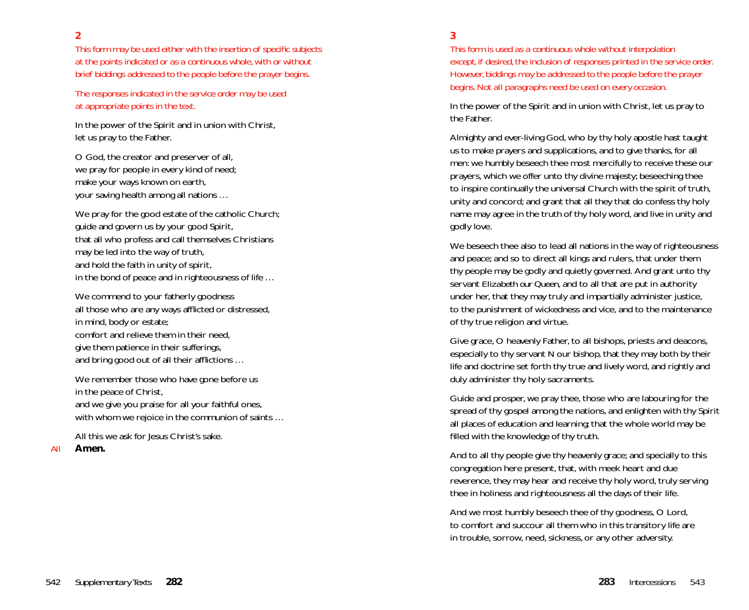**2**

*This form may be used either with the insertion of specific subjects at the points indicated or as a continuous whole, with or without brief biddings addressed to the people before the prayer begins.*

*The responses indicated in the service order may be used at appropriate points in the text.*

In the power of the Spirit and in union with Christ, let us pray to the Father.

O God, the creator and preserver of all, we pray for people in every kind of need; make your ways known on earth, your saving health among all nations …

We pray for the good estate of the catholic Church; guide and govern us by your good Spirit, that all who profess and call themselves Christians may be led into the way of truth, and hold the faith in unity of spirit, in the bond of peace and in righteousness of life …

We commend to your fatherly goodness all those who are any ways afflicted or distressed, in mind, body or estate; comfort and relieve them in their need, give them patience in their sufferings, and bring good out of all their afflictions …

We remember those who have gone before us in the peace of Christ, and we give you praise for all your faithful ones, with whom we rejoice in the communion of saints ...

All this we ask for Jesus Christ's sake.

*All* **Amen.**

### **3**

*This form is used as a continuous whole without interpolation except, if desired, the inclusion of responses printed in the service order. However, biddings may be addressed to the people before the prayer begins. Not all paragraphs need be used on every occasion.*

In the power of the Spirit and in union with Christ, let us pray to the Father.

Almighty and ever-living God, who by thy holy apostle hast taught us to make prayers and supplications, and to give thanks, for all men: we humbly beseech thee most mercifully to receive these our prayers, which we offer unto thy divine majesty; beseeching thee to inspire continually the universal Church with the spirit of truth, unity and concord; and grant that all they that do confess thy holy name may agree in the truth of thy holy word, and live in unity and godly love.

We beseech thee also to lead all nations in the way of righteousness and peace; and so to direct all kings and rulers, that under them thy people may be godly and quietly governed. And grant unto thy servant *Elizabeth our Queen*, and to all that are put in authority under her, that they may truly and impartially administer justice, to the punishment of wickedness and vice, and to the maintenance of thy true religion and virtue.

Give grace, O heavenly Father, to all bishops, priests and deacons, especially to thy servant *N* our bishop, that they may both by their life and doctrine set forth thy true and lively word, and rightly and duly administer thy holy sacraments.

Guide and prosper, we pray thee, those who are labouring for the spread of thy gospel among the nations, and enlighten with thy Spirit all places of education and learning; that the whole world may be filled with the knowledge of thy truth.

And to all thy people give thy heavenly grace; and specially to this congregation here present, that, with meek heart and due reverence, they may hear and receive thy holy word, truly serving thee in holiness and righteousness all the days of their life.

And we most humbly beseech thee of thy goodness, O Lord, to comfort and succour all them who in this transitory life are in trouble, sorrow, need, sickness, or any other adversity.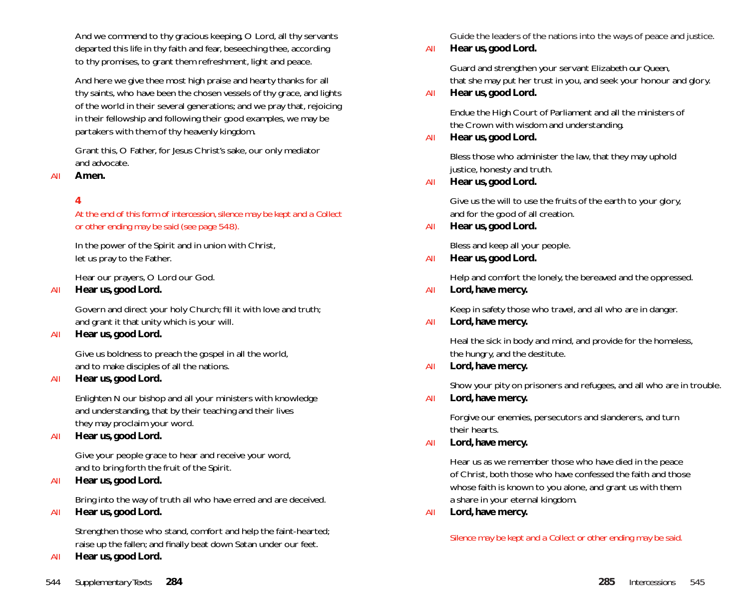And we commend to thy gracious keeping, O Lord, all thy servants departed this life in thy faith and fear, beseeching thee, according to thy promises, to grant them refreshment, light and peace.

And here we give thee most high praise and hearty thanks for all thy saints, who have been the chosen vessels of thy grace, and lights of the world in their several generations; and we pray that, rejoicing in their fellowship and following their good examples, we may be partakers with them of thy heavenly kingdom.

Grant this, O Father, for Jesus Christ's sake, our only mediator and advocate.

#### *All* **Amen.**

#### **4**

*At the end of this form of intercession, silence may be kept and a Collect or other ending may be said (see page 548).*

In the power of the Spirit and in union with Christ, let us pray to the Father.

Hear our prayers, O Lord our God.

#### All **Hear us, good Lord.**

Govern and direct your holy Church; fill it with love and truth; and grant it that unity which is your will.

#### All **Hear us, good Lord.**

Give us boldness to preach the gospel in all the world, and to make disciples of all the nations.

#### All **Hear us, good Lord.**

Enlighten *N* our bishop and all your ministers with knowledge and understanding, that by their teaching and their lives they may proclaim your word.

#### *All* **Hear us, good Lord.**

Give your people grace to hear and receive your word, and to bring forth the fruit of the Spirit.

#### All **Hear us, good Lord.**

Bring into the way of truth all who have erred and are deceived.

#### *All* **Hear us, good Lord.**

Strengthen those who stand, comfort and help the faint-hearted; raise up the fallen; and finally beat down Satan under our feet.

*All* **Hear us, good Lord.**

Guide the leaders of the nations into the ways of peace and justice.

#### *All* **Hear us, good Lord.**

Guard and strengthen your servant *Elizabeth our Queen,* that she may put her trust in you, and seek your honour and glory.

### All **Hear us, good Lord.**

Endue the High Court of Parliament and all the ministers of the Crown with wisdom and understanding.

#### *All* **Hear us, good Lord.**

Bless those who administer the law, that they may uphold justice, honesty and truth.

*All* **Hear us, good Lord.**

Give us the will to use the fruits of the earth to your glory, and for the good of all creation.

*All* **Hear us, good Lord.**

Bless and keep all your people.

*All* **Hear us, good Lord.**

Help and comfort the lonely, the bereaved and the oppressed.

#### *All* **Lord, have mercy.**

Keep in safety those who travel, and all who are in danger.

*All* **Lord, have mercy.**

Heal the sick in body and mind, and provide for the homeless, the hungry, and the destitute.

*All* **Lord, have mercy.**

Show your pity on prisoners and refugees, and all who are in trouble.

*All* **Lord, have mercy.**

Forgive our enemies, persecutors and slanderers, and turn their hearts.

*All* **Lord, have mercy.**

Hear us as we remember those who have died in the peace of Christ, both those who have confessed the faith and those whose faith is known to you alone, and grant us with them a share in your eternal kingdom.

*All* **Lord, have mercy.**

*Silence may be kept and a Collect or other ending may be said.*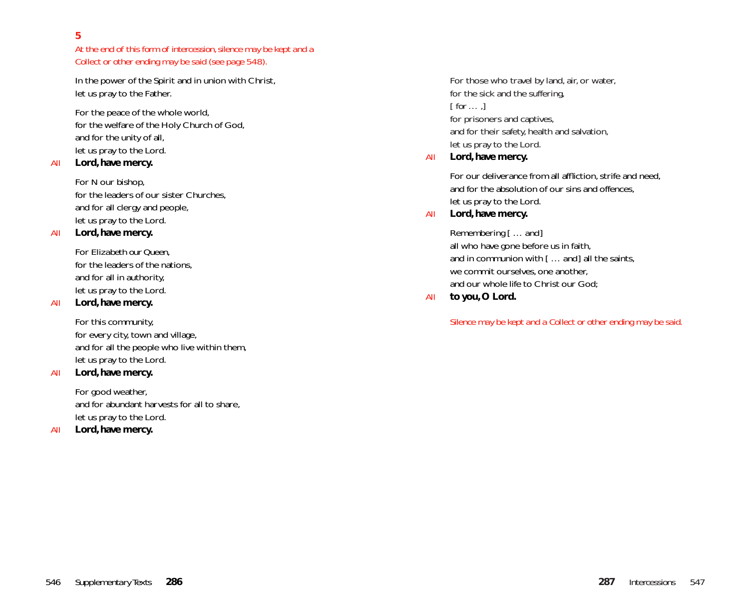**5**

*At the end of this form of intercession, silence may be kept and a Collect or other ending may be said (see page 548).*

In the power of the Spirit and in union with Christ, let us pray to the Father.

For the peace of the whole world, for the welfare of the Holy Church of God, and for the unity of all, let us pray to the Lord.

#### *All* **Lord, have mercy.**

For *N* our bishop, for the leaders of our sister Churches, and for all clergy and people, let us pray to the Lord.

### *All* **Lord, have mercy.**

For *Elizabeth our Queen*, for the leaders of the nations, and for all in authority, let us pray to the Lord.

# *All* **Lord, have mercy.**

For this community, for every city, town and village, and for all the people who live within them, let us pray to the Lord.

### *All* **Lord, have mercy.**

For good weather, and for abundant harvests for all to share, let us pray to the Lord.

### *All* **Lord, have mercy.**

For those who travel by land, air, or water, for the sick and the suffering, [ *for … ,*] for prisoners and captives, and for their safety, health and salvation, let us pray to the Lord.

# *All* **Lord, have mercy.**

For our deliverance from all affliction, strife and need, and for the absolution of our sins and offences, let us pray to the Lord.

#### *All* **Lord, have mercy.**

Remembering [ *… and*] all who have gone before us in faith, and in communion with [ *… and*] all the saints, we commit ourselves, one another, and our whole life to Christ our God;

### *All* **to you, O Lord.**

*Silence may be kept and a Collect or other ending may be said.*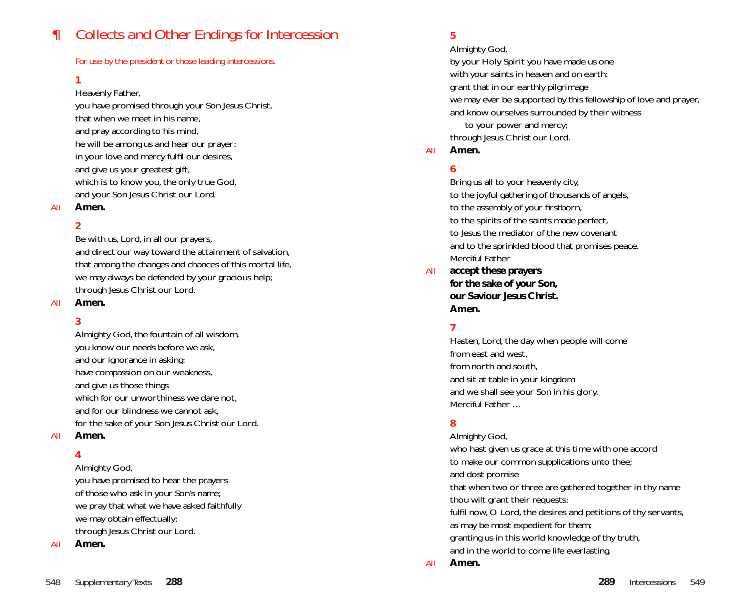# *¶ Collects and Other Endings for Intercession*

#### *For use by the president or those leading intercessions.*

#### **1**

Heavenly Father, you have promised through your Son Jesus Christ, that when we meet in his name, and pray according to his mind, he will be among us and hear our prayer: in your love and mercy fulfil our desires, and give us your greatest gift, which is to know you, the only true God, and your Son Jesus Christ our Lord.

#### *All* **Amen.**

#### **2**

Be with us, Lord, in all our prayers, and direct our way toward the attainment of salvation, that among the changes and chances of this mortal life, we may always be defended by your gracious help; through Jesus Christ our Lord.

#### *All* **Amen.**

#### **3**

Almighty God, the fountain of all wisdom, you know our needs before we ask, and our ignorance in asking: have compassion on our weakness, and give us those things which for our unworthiness we dare not, and for our blindness we cannot ask, for the sake of your Son Jesus Christ our Lord.

#### *All* **Amen.**

#### **4**

Almighty God, you have promised to hear the prayers of those who ask in your Son's name; we pray that what we have asked faithfully we may obtain effectually; through Jesus Christ our Lord.

#### *All* **Amen.**

**5**

Almighty God,

by your Holy Spirit you have made us one with your saints in heaven and on earth: grant that in our earthly pilgrimage we may ever be supported by this fellowship of love and prayer, and know ourselves surrounded by their witness to your power and mercy; through Jesus Christ our Lord.

*All* **Amen.**

#### **6**

Bring us all to your heavenly city, to the joyful gathering of thousands of angels, to the assembly of your firstborn, to the spirits of the saints made perfect, to Jesus the mediator of the new covenant and to the sprinkled blood that promises peace. Merciful Father

*All* **accept these prayers for the sake of your Son, our Saviour Jesus Christ. Amen.**

#### **7**

Hasten, Lord, the day when people will come from east and west, from north and south, and sit at table in your kingdom and we shall see your Son in his glory. Merciful Father …

#### **8**

Almighty God, who hast given us grace at this time with one accord to make our common supplications unto thee; and dost promise that when two or three are gathered together in thy name thou wilt grant their requests: fulfil now, O Lord, the desires and petitions of thy servants, as may be most expedient for them; granting us in this world knowledge of thy truth, and in the world to come life everlasting. *All* **Amen.**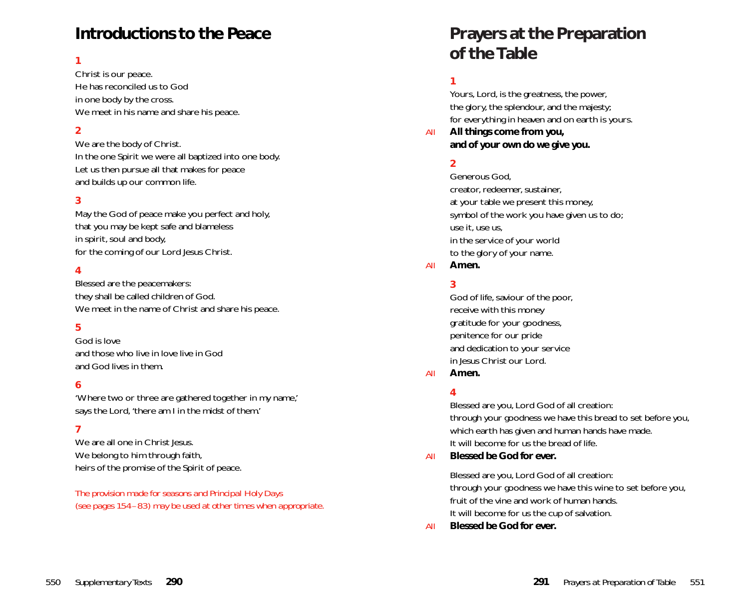# **Introductions to the Peace**

# **1**

Christ is our peace. He has reconciled us to God in one body by the cross. We meet in his name and share his peace.

#### **2**

We are the body of Christ. In the one Spirit we were all baptized into one body. Let us then pursue all that makes for peace and builds up our common life.

#### **3**

May the God of peace make you perfect and holy, that you may be kept safe and blameless in spirit, soul and body, for the coming of our Lord Jesus Christ.

#### **4**

Blessed are the peacemakers: they shall be called children of God. We meet in the name of Christ and share his peace.

#### **5**

God is love and those who live in love live in God and God lives in them.

#### **6**

'Where two or three are gathered together in my name,' says the Lord, 'there am I in the midst of them.'

#### **7**

We are all one in Christ Jesus. We belong to him through faith, heirs of the promise of the Spirit of peace.

*The provision made for seasons and Principal Holy Days (see pages 154–83) may be used at other times when appropriate.*

# **Prayers at the Preparation of the Table**

#### **1**

Yours, Lord, is the greatness, the power, the glory, the splendour, and the majesty; for everything in heaven and on earth is yours.

*All* **All things come from you, and of your own do we give you.**

#### **2**

Generous God, creator, redeemer, sustainer, at your table we present this money, symbol of the work you have given us to do; use it, use us, in the service of your world to the glory of your name.

#### *All* **Amen.**

#### **3**

God of life, saviour of the poor, receive with this money gratitude for your goodness, penitence for our pride and dedication to your service in Jesus Christ our Lord.

*All* **Amen.**

#### **4**

Blessed are you, Lord God of all creation: through your goodness we have this bread to set before you, which earth has given and human hands have made. It will become for us the bread of life.

#### *All* **Blessed be God for ever.**

Blessed are you, Lord God of all creation: through your goodness we have this wine to set before you, fruit of the vine and work of human hands. It will become for us the cup of salvation.

*All* **Blessed be God for ever.**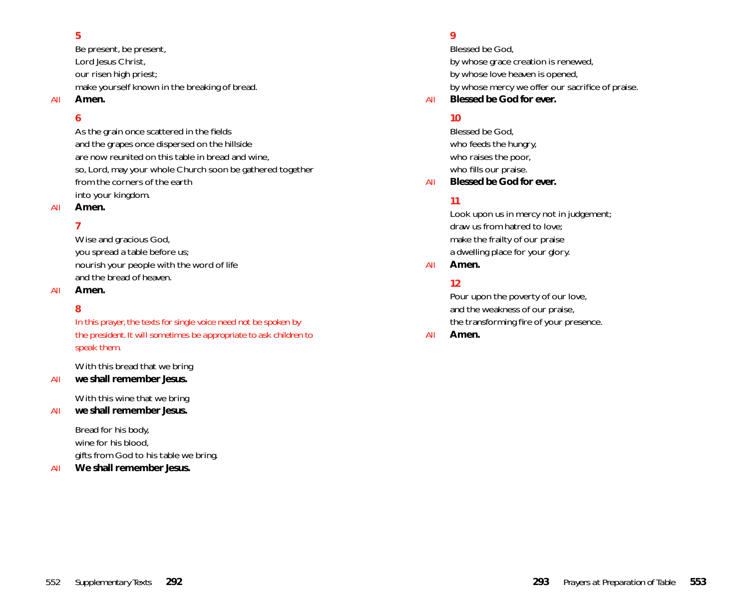#### **5**

Be present, be present, Lord Jesus Christ, our risen high priest; make yourself known in the breaking of bread.

#### *All* **Amen.**

#### **6**

As the grain once scattered in the fields and the grapes once dispersed on the hillside are now reunited on this table in bread and wine, so, Lord, may your whole Church soon be gathered together from the corners of the earth into your kingdom.

#### *All* **Amen.**

#### **7**

Wise and gracious God, you spread a table before us; nourish your people with the word of life and the bread of heaven.

#### *All* **Amen.**

#### **8**

*In this prayer, the texts for single voice need not be spoken by the president. It will sometimes be appropriate to ask children to speak them.*

With this bread that we bring

#### *All* **we shall remember Jesus.**

With this wine that we bring

*All* **we shall remember Jesus.**

Bread for his body, wine for his blood, gifts from God to his table we bring.

#### *All* **We shall remember Jesus.**

#### **9**

Blessed be God, by whose grace creation is renewed, by whose love heaven is opened, by whose mercy we offer our sacrifice of praise.

*All* **Blessed be God for ever.**

#### **10**

Blessed be God, who feeds the hungry, who raises the poor, who fills our praise.

*All* **Blessed be God for ever.**

#### **11**

Look upon us in mercy not in judgement; draw us from hatred to love; make the frailty of our praise a dwelling place for your glory.

*All* **Amen.**

#### **12**

Pour upon the poverty of our love, and the weakness of our praise, the transforming fire of your presence.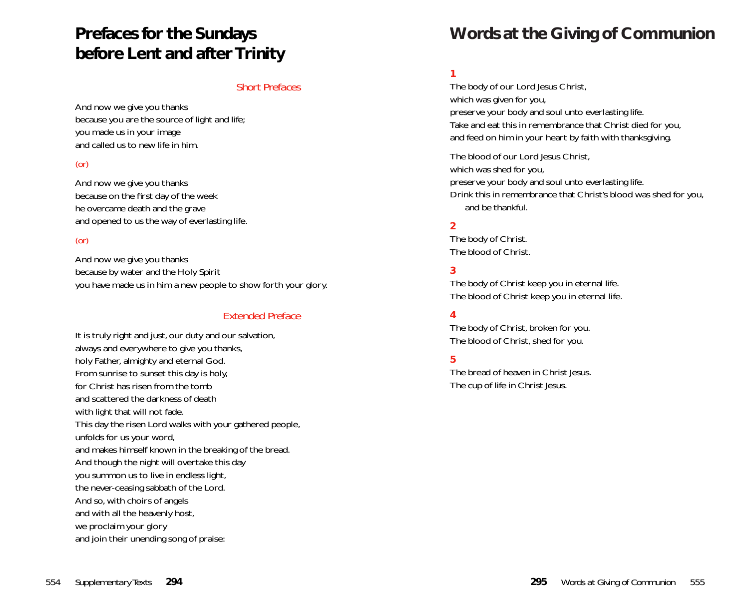# **Prefaces for the Sundays before Lent and after Trinity**

### *Short Prefaces*

And now we give you thanks because you are the source of light and life; you made us in your image and called us to new life in him.

# *(or)*

And now we give you thanks because on the first day of the week he overcame death and the grave and opened to us the way of everlasting life.

# *(or)*

And now we give you thanks because by water and the Holy Spirit you have made us in him a new people to show forth your glory.

# *Extended Preface*

It is truly right and just, our duty and our salvation, always and everywhere to give you thanks, holy Father, almighty and eternal God. From sunrise to sunset this day is holy, for Christ has risen from the tomb and scattered the darkness of death with light that will not fade. This day the risen Lord walks with your gathered people, unfolds for us your word, and makes himself known in the breaking of the bread. And though the night will overtake this day you summon us to live in endless light, the never-ceasing sabbath of the Lord. And so, with choirs of angels and with all the heavenly host, we proclaim your glory and join their unending song of praise:

# **Words at the Giving of Communion**

# **1**

The body of our Lord Jesus Christ, which was given for you, preserve your body and soul unto everlasting life. Take and eat this in remembrance that Christ died for you, and feed on him in your heart by faith with thanksgiving.

The blood of our Lord Jesus Christ, which was shed for you, preserve your body and soul unto everlasting life. Drink this in remembrance that Christ's blood was shed for you, and be thankful.

# **2**

The body of Christ. The blood of Christ.

#### **3**

The body of Christ keep you in eternal life. The blood of Christ keep you in eternal life.

#### **4**

The body of Christ, broken for you. The blood of Christ, shed for you.

#### **5**

The bread of heaven in Christ Jesus. The cup of life in Christ Jesus.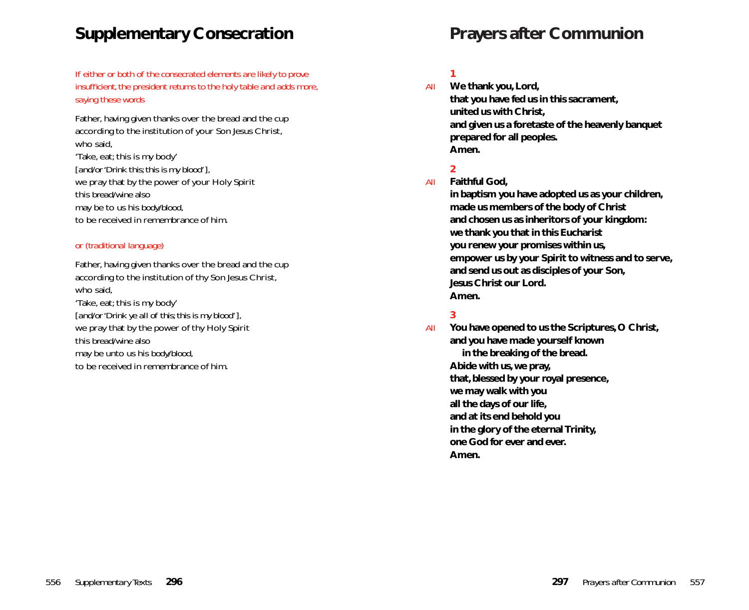# **Supplementary Consecration**

*If either or both of the consecrated elements are likely to prove insufficient, the president returns to the holy table and adds more, saying these words*

Father, having given thanks over the bread and the cup according to the institution of your Son Jesus Christ, who said,

'Take, eat; this is my body' [*and/or 'Drink this; this is my blood'*]*,* we pray that by the power of your Holy Spirit this *bread/wine* also may be to us his *body/blood,* to be received in remembrance of him.

#### *or (traditional language)*

Father, having given thanks over the bread and the cup according to the institution of thy Son Jesus Christ, who said, 'Take, eat; this is my body' [*and/or 'Drink ye all of this; this is my blood'*]*,* we pray that by the power of thy Holy Spirit this *bread/wine* also may be unto us his *body/blood,* to be received in remembrance of him.

# **Prayers after Communion**

#### **1**

*All* **We thank you, Lord, that you have fed us in this sacrament, united us with Christ, and given us a foretaste of the heavenly banquet prepared for all peoples. Amen.**

#### **2**

*All* **Faithful God,**

**in baptism you have adopted us as your children, made us members of the body of Christ and chosen us as inheritors of your kingdom: we thank you that in this Eucharist you renew your promises within us, empower us by your Spirit to witness and to serve, and send us out as disciples of your Son, Jesus Christ our Lord. Amen.**

### **3**

*All* **You have opened to us the Scriptures, O Christ, and you have made yourself known in the breaking of the bread. Abide with us, we pray, that, blessed by your royal presence, we may walk with you all the days of our life, and at its end behold you in the glory of the eternal Trinity, one God for ever and ever. Amen.**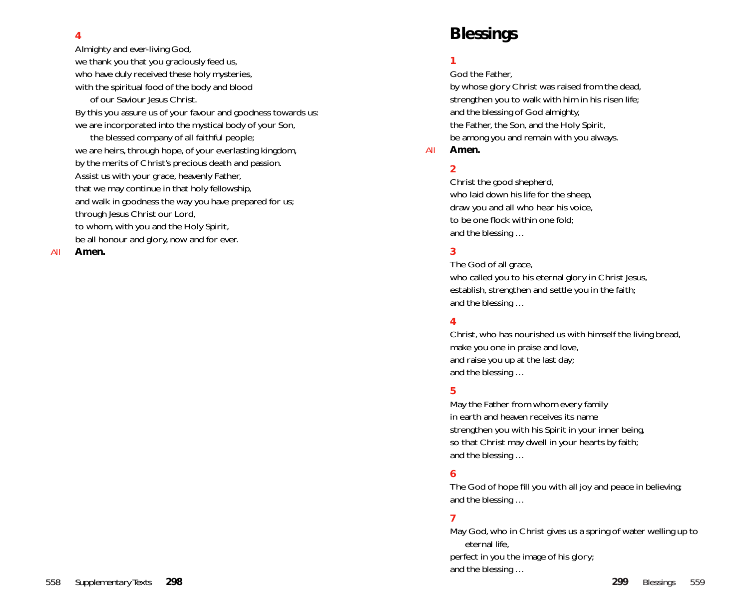**4**

Almighty and ever-living God, we thank you that you graciously feed us, who have duly received these holy mysteries, with the spiritual food of the body and blood of our Saviour Jesus Christ. By this you assure us of your favour and goodness towards us: we are incorporated into the mystical body of your Son, the blessed company of all faithful people; we are heirs, through hope, of your everlasting kingdom, by the merits of Christ's precious death and passion. Assist us with your grace, heavenly Father, that we may continue in that holy fellowship, and walk in goodness the way you have prepared for us; through Jesus Christ our Lord, to whom, with you and the Holy Spirit, be all honour and glory, now and for ever. *All* **Amen.**

# **Blessings**

# **1**

God the Father,

by whose glory Christ was raised from the dead, strengthen you to walk with him in his risen life; and the blessing of God almighty, the Father, the Son, and the Holy Spirit, be among you and remain with you always.

*All* **Amen.**

### **2**

Christ the good shepherd, who laid down his life for the sheep, draw you and all who hear his voice, to be one flock within one fold; and the blessing …

#### **3**

The God of all grace,

who called you to his eternal glory in Christ Jesus, establish, strengthen and settle you in the faith; and the blessing …

#### **4**

Christ, who has nourished us with himself the living bread, make you one in praise and love, and raise you up at the last day; and the blessing …

#### **5**

May the Father from whom every family in earth and heaven receives its name strengthen you with his Spirit in your inner being, so that Christ may dwell in your hearts by faith; and the blessing …

#### **6**

The God of hope fill you with all joy and peace in believing; and the blessing …

#### **7**

May God, who in Christ gives us a spring of water welling up to eternal life, perfect in you the image of his glory; and the blessing …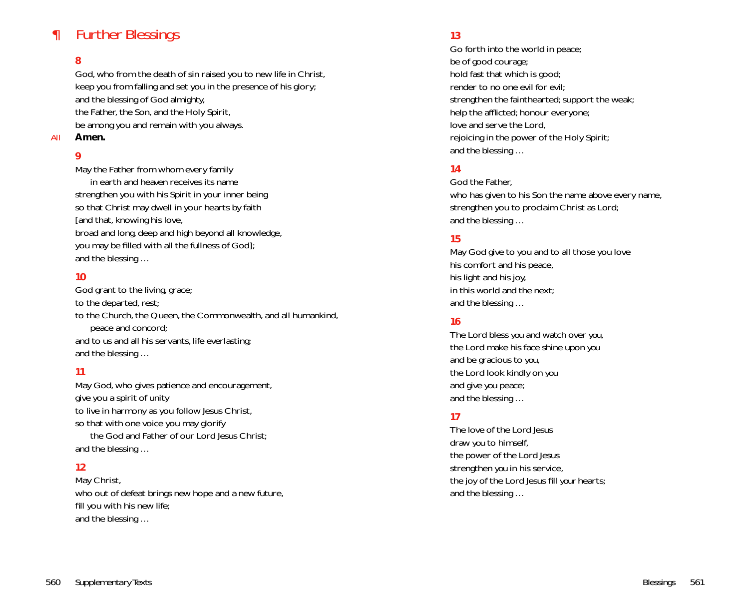# *¶ Further Blessings*

# **8**

God, who from the death of sin raised you to new life in Christ, keep you from falling and set you in the presence of his glory; and the blessing of God almighty, the Father, the Son, and the Holy Spirit, be among you and remain with you always.

#### *All* **Amen.**

#### **9**

May the Father from whom every family in earth and heaven receives its name strengthen you with his Spirit in your inner being so that Christ may dwell in your hearts by faith [and that, knowing his love, broad and long, deep and high beyond all knowledge, you may be filled with all the fullness of God]; and the blessing …

#### **10**

God grant to the living, grace; to the departed, rest; to the Church, the Queen, the Commonwealth, and all humankind, peace and concord; and to us and all his servants, life everlasting; and the blessing …

#### **11**

May God, who gives patience and encouragement, give you a spirit of unity to live in harmony as you follow Jesus Christ, so that with one voice you may glorify the God and Father of our Lord Jesus Christ; and the blessing …

#### **12**

May Christ, who out of defeat brings new hope and a new future, fill you with his new life; and the blessing …

#### **13**

Go forth into the world in peace; be of good courage; hold fast that which is good; render to no one evil for evil; strengthen the fainthearted; support the weak; help the afflicted; honour everyone; love and serve the Lord, rejoicing in the power of the Holy Spirit; and the blessing …

#### **14**

God the Father, who has given to his Son the name above every name, strengthen you to proclaim Christ as Lord; and the blessing …

#### **15**

May God give to you and to all those you love his comfort and his peace, his light and his joy, in this world and the next; and the blessing …

#### **16**

The Lord bless *you* and watch over *you*, the Lord make his face shine upon *you* and be gracious to *you*, the Lord look kindly on *you* and give *you* peace; and the blessing …

#### **17**

The love of the Lord Jesus draw *you* to himself, the power of the Lord Jesus strengthen *you* in his service, the joy of the Lord Jesus fill *your* hearts; and the blessing …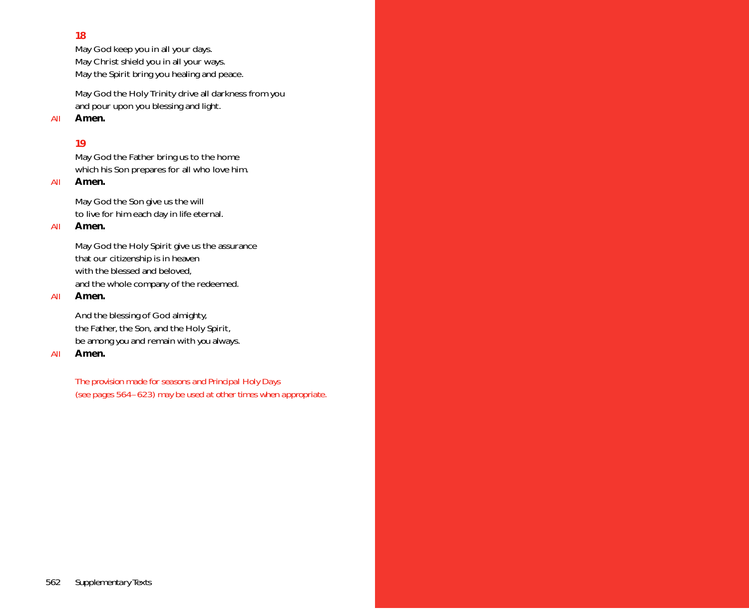#### **18**

May God keep you in all your days. May Christ shield you in all your ways. May the Spirit bring you healing and peace.

May God the Holy Trinity drive all darkness from you and pour upon you blessing and light.

*All* **Amen.**

#### **19**

May God the Father bring us to the home which his Son prepares for all who love him.

#### *All* **Amen.**

May God the Son give us the will to live for him each day in life eternal.

#### *All* **Amen.**

May God the Holy Spirit give us the assurance that our citizenship is in heaven with the blessed and beloved, and the whole company of the redeemed.

#### *All* **Amen.**

And the blessing of God almighty, the Father, the Son, and the Holy Spirit, be among *you* and remain with *you* always.

#### *All* **Amen.**

*The provision made for seasons and Principal Holy Days (see pages 564–623) may be used at other times when appropriate.*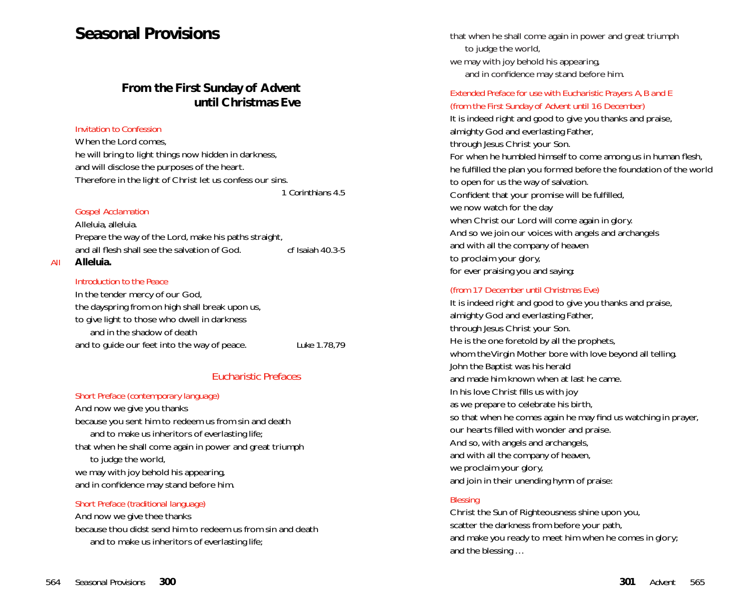# **Seasonal Provisions**

# **From the First Sunday of Advent until Christmas Eve**

#### *Invitation to Confession*

When the Lord comes, he will bring to light things now hidden in darkness, and will disclose the purposes of the heart. Therefore in the light of Christ let us confess our sins.

*1 Corinthians 4.5*

#### *Gospel Acclamation*

Alleluia, alleluia. Prepare the way of the Lord, make his paths straight, and all flesh shall see the salvation of God. *cf Isaiah 40.3-5 All* **Alleluia.**

#### *Introduction to the Peace*

| In the tender mercy of our God,                 |              |
|-------------------------------------------------|--------------|
| the dayspring from on high shall break upon us, |              |
| to give light to those who dwell in darkness    |              |
| and in the shadow of death                      |              |
| and to quide our feet into the way of peace.    | Luke 1.78.79 |

# *Eucharistic Prefaces*

#### *Short Preface (contemporary language)*

And now we give you thanks because you sent him to redeem us from sin and death and to make us inheritors of everlasting life; that when he shall come again in power and great triumph to judge the world, we may with joy behold his appearing, and in confidence may stand before him.

#### *Short Preface (traditional language)*

And now we give thee thanks because thou didst send him to redeem us from sin and death and to make us inheritors of everlasting life;

that when he shall come again in power and great triumph to judge the world, we may with joy behold his appearing, and in confidence may stand before him.

#### *Extended Preface for use with Eucharistic Prayers A, B and E (from the First Sunday of Advent until 16 December)*

It is indeed right and good to give you thanks and praise, almighty God and everlasting Father, through Jesus Christ your Son. For when he humbled himself to come among us in human flesh, he fulfilled the plan you formed before the foundation of the world to open for us the way of salvation. Confident that your promise will be fulfilled, we now watch for the day when Christ our Lord will come again in glory. And so we join our voices with angels and archangels and with all the company of heaven to proclaim your glory, for ever praising you and *saying:*

#### *(from 17 December until Christmas Eve)*

It is indeed right and good to give you thanks and praise, almighty God and everlasting Father, through Jesus Christ your Son. He is the one foretold by all the prophets, whom the Virgin Mother bore with love beyond all telling. John the Baptist was his herald and made him known when at last he came. In his love Christ fills us with joy as we prepare to celebrate his birth, so that when he comes again he may find us watching in prayer, our hearts filled with wonder and praise. And so, with angels and archangels, and with all the company of heaven, we proclaim your glory, and join in their unending hymn of praise:

#### *Blessing*

Christ the Sun of Righteousness shine upon you, scatter the darkness from before your path, and make you ready to meet him when he comes in glory; and the blessing …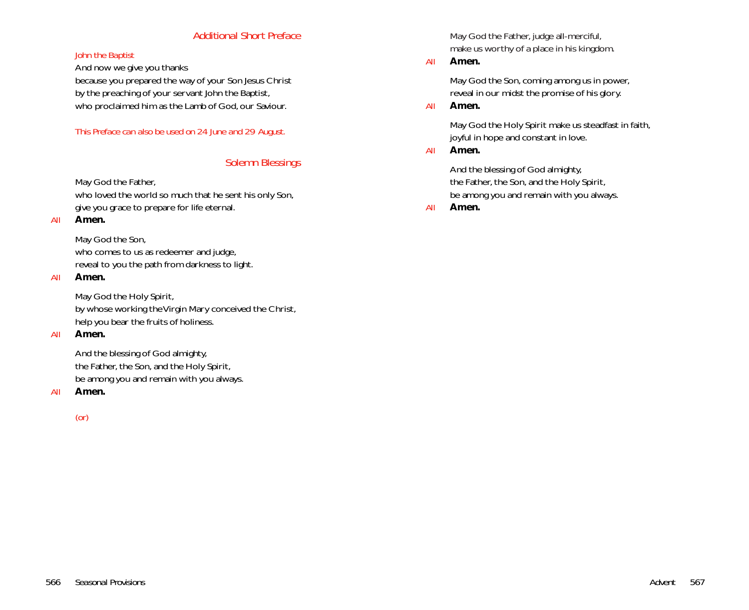# *Additional Short Preface*

#### *John the Baptist*

And now we give you thanks because you prepared the way of your Son Jesus Christ by the preaching of your servant John the Baptist, who proclaimed him as the Lamb of God, our Saviour.

#### *This Preface can also be used on 24 June and 29 August.*

# *Solemn Blessings*

May God the Father, who loved the world so much that he sent his only Son, give you grace to prepare for life eternal.

#### *All* **Amen.**

May God the Son, who comes to us as redeemer and judge, reveal to you the path from darkness to light.

#### *All* **Amen.**

May God the Holy Spirit, by whose working the Virgin Mary conceived the Christ, help you bear the fruits of holiness.

#### *All* **Amen.**

And the blessing of God almighty, the Father, the Son, and the Holy Spirit, be among you and remain with you always.

#### *All* **Amen.**

*(or)*

May God the Father, judge all-merciful, make us worthy of a place in his kingdom.

#### *All* **Amen.**

May God the Son, coming among us in power, reveal in our midst the promise of his glory.

*All* **Amen.**

May God the Holy Spirit make us steadfast in faith, joyful in hope and constant in love.

*All* **Amen.**

And the blessing of God almighty, the Father, the Son, and the Holy Spirit, be among you and remain with you always.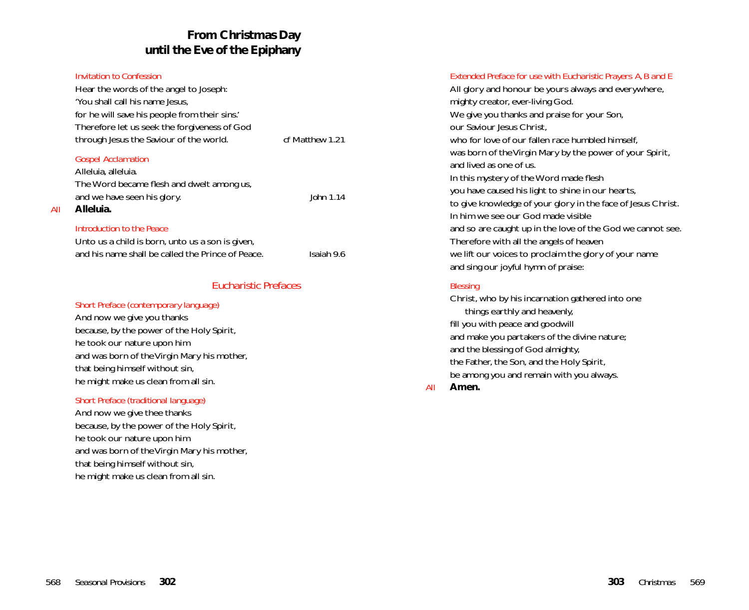# **From Christmas Day until the Eve of the Epiphany**

|     | Invitation to Confession                          |                 |  |
|-----|---------------------------------------------------|-----------------|--|
|     | Hear the words of the angel to Joseph:            |                 |  |
|     | 'You shall call his name Jesus,                   |                 |  |
|     | for he will save his people from their sins.      |                 |  |
|     | Therefore let us seek the forgiveness of God      |                 |  |
|     | through Jesus the Saviour of the world.           | cf Matthew 1.21 |  |
|     | <b>Gospel Acclamation</b>                         |                 |  |
|     | Alleluia, alleluia.                               |                 |  |
|     | The Word became flesh and dwelt among us,         |                 |  |
|     | and we have seen his glory.                       | John 1.14       |  |
| AII | Alleluia.                                         |                 |  |
|     |                                                   |                 |  |
|     | Introduction to the Peace                         |                 |  |
|     | Unto us a child is born, unto us a son is given,  |                 |  |
|     | and his name shall be called the Prince of Peace. | Isaiah 9.6      |  |
|     |                                                   |                 |  |

# *Eucharistic Prefaces*

#### *Short Preface (contemporary language)*

And now we give you thanks because, by the power of the Holy Spirit, he took our nature upon him and was born of the Virgin Mary his mother, that being himself without sin, he might make us clean from all sin.

#### *Short Preface (traditional language)*

And now we give thee thanks because, by the power of the Holy Spirit, he took our nature upon him and was born of the Virgin Mary his mother, that being himself without sin, he might make us clean from all sin.

#### *Extended Preface for use with Eucharistic Prayers A, B and E*

All glory and honour be yours always and everywhere, mighty creator, ever-living God. We give you thanks and praise for your Son, our Saviour Jesus Christ, who for love of our fallen race humbled himself, was born of the Virgin Mary by the power of your Spirit, and lived as one of us. In this mystery of the Word made flesh you have caused his light to shine in our hearts, to give knowledge of your glory in the face of Jesus Christ. In him we see our God made visible and so are caught up in the love of the God we cannot see. Therefore with all the angels of heaven we lift our voices to proclaim the glory of your name and sing our joyful hymn of praise:

### *Blessing*

Christ, who by his incarnation gathered into one things earthly and heavenly, fill you with peace and goodwill and make you partakers of the divine nature; and the blessing of God almighty, the Father, the Son, and the Holy Spirit, be among you and remain with you always. *All* **Amen.**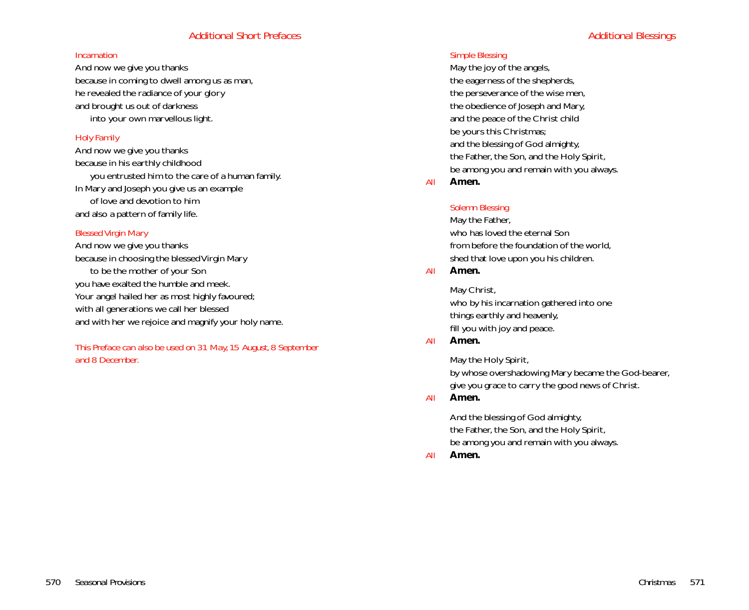# *Additional Short Prefaces*

#### *Incarnation*

And now we give you thanks because in coming to dwell among us as man, he revealed the radiance of your glory and brought us out of darkness into your own marvellous light.

#### *Holy Family*

And now we give you thanks because in his earthly childhood you entrusted him to the care of a human family. In Mary and Joseph you give us an example of love and devotion to him and also a pattern of family life.

#### *Blessed Virgin Mary*

And now we give you thanks because in choosing the blessed Virgin Mary to be the mother of your Son you have exalted the humble and meek. Your angel hailed her as most highly favoured; with all generations we call her blessed and with her we rejoice and magnify your holy name.

*This Preface can also be used on 31 May, 15 August, 8 September and 8 December.*

#### *Simple Blessing*

May the joy of the angels, the eagerness of the shepherds, the perseverance of the wise men, the obedience of Joseph and Mary, and the peace of the Christ child be yours this Christmas; and the blessing of God almighty, the Father, the Son, and the Holy Spirit, be among you and remain with you always.

*All* **Amen.**

#### *Solemn Blessing*

May the Father, who has loved the eternal Son from before the foundation of the world, shed that love upon you his children.

*All* **Amen.**

May Christ, who by his incarnation gathered into one things earthly and heavenly, fill you with joy and peace.

#### *All* **Amen.**

May the Holy Spirit, by whose overshadowing Mary became the God-bearer, give you grace to carry the good news of Christ.

#### *All* **Amen.**

And the blessing of God almighty, the Father, the Son, and the Holy Spirit, be among you and remain with you always.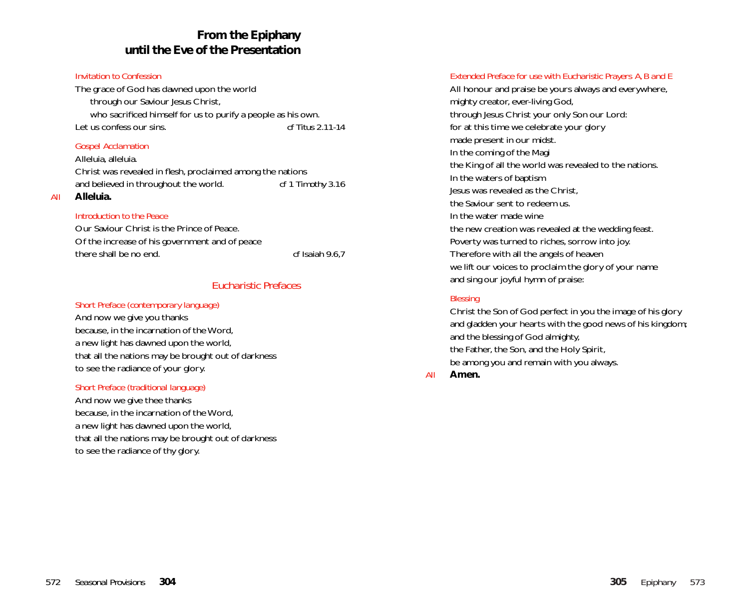# **From the Epiphany until the Eve of the Presentation**

#### *Invitation to Confession*

The grace of God has dawned upon the world through our Saviour Jesus Christ, who sacrificed himself for us to purify a people as his own. Let us confess our sins. *cf Titus 2.11-14*

#### *Gospel Acclamation*

Alleluia, alleluia. Christ was revealed in flesh, proclaimed among the nations and believed in throughout the world. *cf 1 Timothy 3.16*

#### *All* **Alleluia.**

#### *Introduction to the Peace*

Our Saviour Christ is the Prince of Peace. Of the increase of his government and of peace there shall be no end. *cf Isaiah 9.6,7*

# *Eucharistic Prefaces*

#### *Short Preface (contemporary language)*

And now we give you thanks because, in the incarnation of the Word, a new light has dawned upon the world, that all the nations may be brought out of darkness to see the radiance of your glory.

#### *Short Preface (traditional language)*

And now we give thee thanks because, in the incarnation of the Word, a new light has dawned upon the world, that all the nations may be brought out of darkness to see the radiance of thy glory.

#### *Extended Preface for use with Eucharistic Prayers A, B and E*

All honour and praise be yours always and everywhere, mighty creator, ever-living God, through Jesus Christ your only Son our Lord: for at this time we celebrate your glory made present in our midst. In the coming of the Magi the King of all the world was revealed to the nations. In the waters of baptism Jesus was revealed as the Christ, the Saviour sent to redeem us. In the water made wine the new creation was revealed at the wedding feast. Poverty was turned to riches, sorrow into joy. Therefore with all the angels of heaven we lift our voices to proclaim the glory of your name and sing our joyful hymn of praise:

### *Blessing*

Christ the Son of God perfect in you the image of his glory and gladden your hearts with the good news of his kingdom; and the blessing of God almighty, the Father, the Son, and the Holy Spirit, be among you and remain with you always.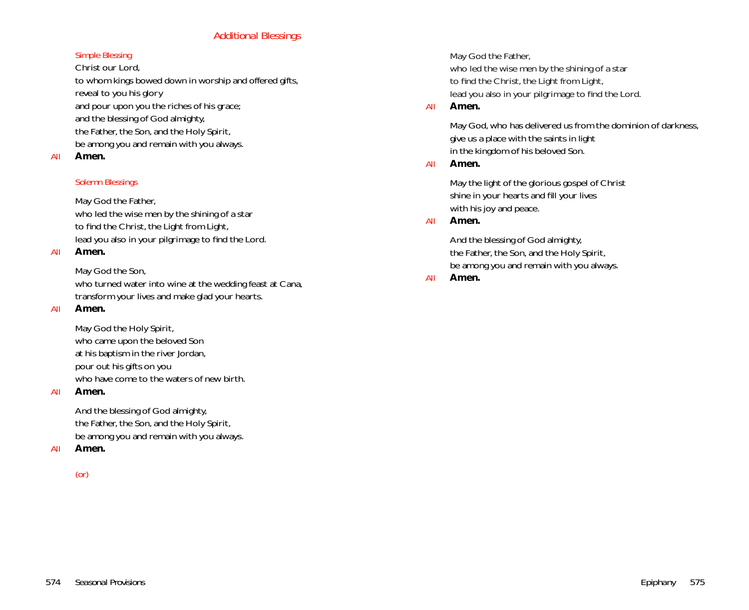# *Additional Blessings*

### *Simple Blessing*

Christ our Lord, to whom kings bowed down in worship and offered gifts, reveal to you his glory and pour upon you the riches of his grace; and the blessing of God almighty, the Father, the Son, and the Holy Spirit, be among you and remain with you always.

#### *All* **Amen.**

#### *Solemn Blessings*

#### May God the Father,

who led the wise men by the shining of a star to find the Christ, the Light from Light, lead you also in your pilgrimage to find the Lord.

#### *All* **Amen.**

May God the Son, who turned water into wine at the wedding feast at Cana, transform your lives and make glad your hearts.

#### *All* **Amen.**

May God the Holy Spirit, who came upon the beloved Son at his baptism in the river Jordan, pour out his gifts on you who have come to the waters of new birth.

#### *All* **Amen.**

And the blessing of God almighty, the Father, the Son, and the Holy Spirit, be among you and remain with you always.

#### *All* **Amen.**

#### *(or)*

May God the Father, who led the wise men by the shining of a star to find the Christ, the Light from Light, lead you also in your pilgrimage to find the Lord.

#### *All* **Amen.**

May God, who has delivered us from the dominion of darkness, give us a place with the saints in light in the kingdom of his beloved Son.

#### *All* **Amen.**

May the light of the glorious gospel of Christ shine in your hearts and fill your lives with his joy and peace.

#### *All* **Amen.**

And the blessing of God almighty, the Father, the Son, and the Holy Spirit, be among you and remain with you always.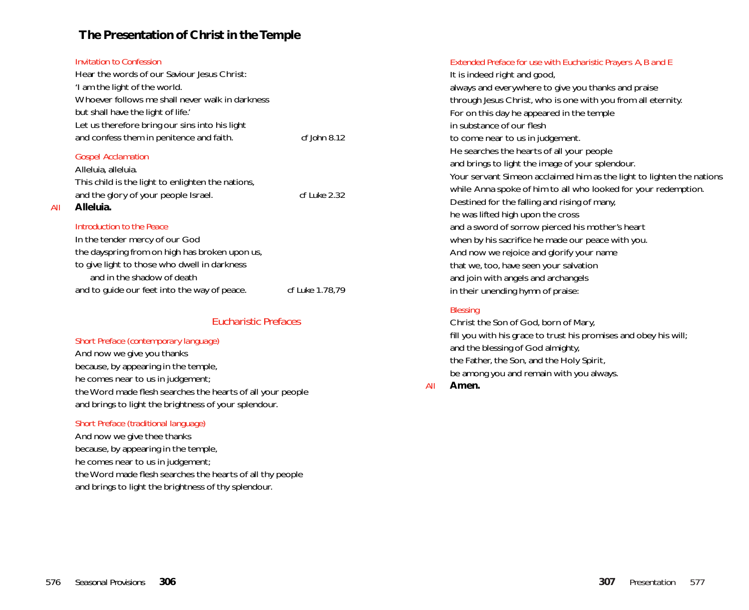# **The Presentation of Christ in the Temple**

| Invitation to Confession<br>Hear the words of our Saviour Jesus Christ:<br>'I am the light of the world.<br>Whoever follows me shall never walk in darkness<br>but shall have the light of life."<br>Let us therefore bring our sins into his light |                 | Extended Preface for use with Eucharistic Prayers A, B and E<br>It is indeed right and good,<br>always and everywhere to give you thanks and praise<br>through Jesus Christ, who is one with you from all eternity.<br>For on this day he appeared in the temple<br>in substance of our flesh                                 |
|-----------------------------------------------------------------------------------------------------------------------------------------------------------------------------------------------------------------------------------------------------|-----------------|-------------------------------------------------------------------------------------------------------------------------------------------------------------------------------------------------------------------------------------------------------------------------------------------------------------------------------|
| and confess them in penitence and faith.                                                                                                                                                                                                            | $cf$ John 8.12  | to come near to us in judgement.                                                                                                                                                                                                                                                                                              |
| <b>Gospel Acclamation</b><br>Alleluia, alleluia.<br>This child is the light to enlighten the nations,<br>and the glory of your people Israel.<br>Alleluia.                                                                                          | cf Luke 2.32    | He searches the hearts of all your people<br>and brings to light the image of your splendour.<br>Your servant Simeon acclaimed him as the light to lighten the nations<br>while Anna spoke of him to all who looked for your redemption.<br>Destined for the falling and rising of many,<br>he was lifted high upon the cross |
| Introduction to the Peace<br>In the tender mercy of our God<br>the dayspring from on high has broken upon us,<br>to give light to those who dwell in darkness<br>and in the shadow of death<br>and to guide our feet into the way of peace.         | cf Luke 1.78,79 | and a sword of sorrow pierced his mother's heart<br>when by his sacrifice he made our peace with you.<br>And now we rejoice and glorify your name<br>that we, too, have seen your salvation<br>and join with angels and archangels<br>in their unending hymn of praise:                                                       |

# *Eucharistic Prefaces*

#### *Short Preface (contemporary language)*

*All* **Alleluia.**

And now we give you thanks because, by appearing in the temple, he comes near to us in judgement; the Word made flesh searches the hearts of all your people and brings to light the brightness of your splendour.

#### *Short Preface (traditional language)*

And now we give thee thanks because, by appearing in the temple, he comes near to us in judgement; the Word made flesh searches the hearts of all thy people and brings to light the brightness of thy splendour.

#### *Blessing*

Christ the Son of God, born of Mary, fill you with his grace to trust his promises and obey his will; and the blessing of God almighty, the Father, the Son, and the Holy Spirit, be among you and remain with you always.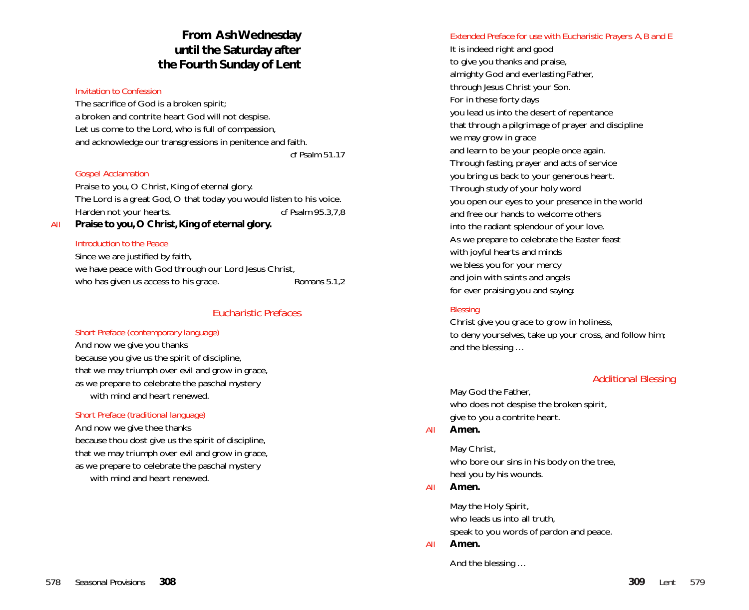# **From Ash Wednesday until the Saturday after the Fourth Sunday of Lent**

#### *Invitation to Confession*

The sacrifice of God is a broken spirit; a broken and contrite heart God will not despise. Let us come to the Lord, who is full of compassion, and acknowledge our transgressions in penitence and faith.

*cf Psalm 51.17*

#### *Gospel Acclamation*

Praise to you, O Christ, King of eternal glory. The Lord is a great God, O that today you would listen to his voice. Harden not your hearts. *cf Psalm 95.3,7,8*

#### *All* **Praise to you, O Christ, King of eternal glory.**

#### *Introduction to the Peace*

Since we are justified by faith, we have peace with God through our Lord Jesus Christ, who has given us access to his grace. *Romans 5.1,2* 

# *Eucharistic Prefaces*

#### *Short Preface (contemporary language)*

And now we give you thanks because you give us the spirit of discipline, that we may triumph over evil and grow in grace, as we prepare to celebrate the paschal mystery with mind and heart renewed.

#### *Short Preface (traditional language)*

And now we give thee thanks because thou dost give us the spirit of discipline, that we may triumph over evil and grow in grace, as we prepare to celebrate the paschal mystery with mind and heart renewed.

#### *Extended Preface for use with Eucharistic Prayers A, B and E*

It is indeed right and good to give you thanks and praise, almighty God and everlasting Father, through Jesus Christ your Son. For in these forty days you lead us into the desert of repentance that through a pilgrimage of prayer and discipline we may grow in grace and learn to be your people once again. Through fasting, prayer and acts of service you bring us back to your generous heart. Through study of your holy word you open our eyes to your presence in the world and free our hands to welcome others into the radiant splendour of your love. As we prepare to celebrate the Easter feast with joyful hearts and minds we bless you for your mercy and join with saints and angels for ever praising you and *saying*:

### *Blessing*

Christ give you grace to grow in holiness, to deny yourselves, take up your cross, and follow him; and the blessing …

# *Additional Blessing*

May God the Father, who does not despise the broken spirit, give to you a contrite heart.

#### *All* **Amen.**

May Christ, who bore our sins in his body on the tree, heal you by his wounds.

#### *All* **Amen.**

May the Holy Spirit, who leads us into all truth. speak to you words of pardon and peace.

#### *All* **Amen.**

And the blessing …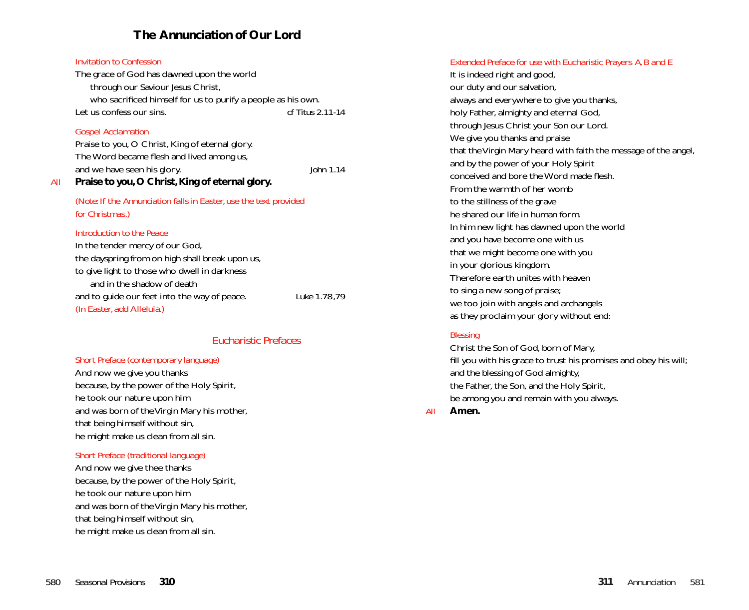# **The Annunciation of Our Lord**

#### *Invitation to Confession*

| The grace of God has dawned upon the world                   |  |
|--------------------------------------------------------------|--|
| through our Saviour Jesus Christ,                            |  |
| who sacrificed himself for us to purify a people as his own. |  |
| cf Titus 2.11-14<br>Let us confess our sins.                 |  |

#### *Gospel Acclamation*

Praise to you, O Christ, King of eternal glory. The Word became flesh and lived among us, and we have seen his glory. *John 1.14*

*All* **Praise to you, O Christ, King of eternal glory.**

#### *(Note: If the Annunciation falls in Easter, use the text provided for Christmas.)*

#### *Introduction to the Peace*

| In the tender mercy of our God,                 |              |  |  |
|-------------------------------------------------|--------------|--|--|
| the dayspring from on high shall break upon us, |              |  |  |
| to give light to those who dwell in darkness    |              |  |  |
| and in the shadow of death                      |              |  |  |
| and to quide our feet into the way of peace.    | Luke 1.78.79 |  |  |
| (In Easter, add Alleluia.)                      |              |  |  |

#### *Eucharistic Prefaces*

#### *Short Preface (contemporary language)*

And now we give you thanks because, by the power of the Holy Spirit, he took our nature upon him and was born of the Virgin Mary his mother, that being himself without sin, he might make us clean from all sin.

#### *Short Preface (traditional language)*

And now we give thee thanks because, by the power of the Holy Spirit, he took our nature upon him and was born of the Virgin Mary his mother, that being himself without sin, he might make us clean from all sin.

#### *Extended Preface for use with Eucharistic Prayers A, B and E*

It is indeed right and good, our duty and our salvation, always and everywhere to give you thanks, holy Father, almighty and eternal God, through Jesus Christ your Son our Lord. We give you thanks and praise that the Virgin Mary heard with faith the message of the angel, and by the power of your Holy Spirit conceived and bore the Word made flesh. From the warmth of her womb to the stillness of the grave he shared our life in human form. In him new light has dawned upon the world and you have become one with us that we might become one with you in your glorious kingdom. Therefore earth unites with heaven to sing a new song of praise; we too join with angels and archangels as they proclaim your glory without end:

#### *Blessing*

Christ the Son of God, born of Mary, fill you with his grace to trust his promises and obey his will; and the blessing of God almighty, the Father, the Son, and the Holy Spirit, be among you and remain with you always.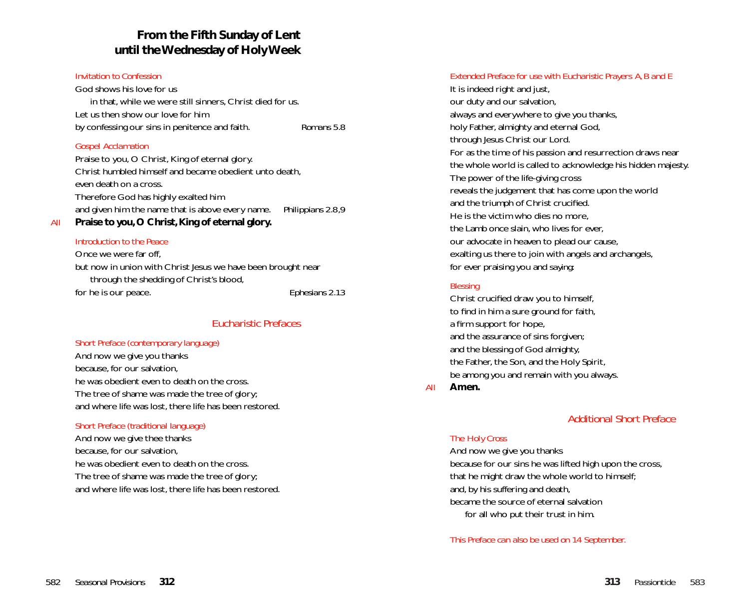# **From the Fifth Sunday of Lent until the Wednesday of Holy Week**

#### *Invitation to Confession*

God shows his love for us in that, while we were still sinners, Christ died for us. Let us then show our love for him by confessing our sins in penitence and faith. *Romans 5.8*

#### *Gospel Acclamation*

Praise to you, O Christ, King of eternal glory. Christ humbled himself and became obedient unto death, even death on a cross. Therefore God has highly exalted him and given him the name that is above every name. *Philippians 2.8,9*

*All* **Praise to you, O Christ, King of eternal glory.**

#### *Introduction to the Peace*

Once we were far off, but now in union with Christ Jesus we have been brought near through the shedding of Christ's blood, for he is our peace. *Ephesians 2.13*

# *Eucharistic Prefaces*

### *Short Preface (contemporary language)*

And now we give you thanks because, for our salvation, he was obedient even to death on the cross. The tree of shame was made the tree of glory; and where life was lost, there life has been restored.

#### *Short Preface (traditional language)*

And now we give thee thanks because, for our salvation, he was obedient even to death on the cross. The tree of shame was made the tree of glory; and where life was lost, there life has been restored.

### *Extended Preface for use with Eucharistic Prayers A, B and E*

It is indeed right and just, our duty and our salvation, always and everywhere to give you thanks, holy Father, almighty and eternal God, through Jesus Christ our Lord. For as the time of his passion and resurrection draws near the whole world is called to acknowledge his hidden majesty. The power of the life-giving cross reveals the judgement that has come upon the world and the triumph of Christ crucified. He is the victim who dies no more, the Lamb once slain, who lives for ever, our advocate in heaven to plead our cause, exalting us there to join with angels and archangels, for ever praising you and *saying*:

# *Blessing*

Christ crucified draw you to himself, to find in him a sure ground for faith, a firm support for hope, and the assurance of sins forgiven; and the blessing of God almighty, the Father, the Son, and the Holy Spirit, be among you and remain with you always.

*All* **Amen.**

# *Additional Short Preface*

### *The Holy Cross*

And now we give you thanks because for our sins he was lifted high upon the cross, that he might draw the whole world to himself; and, by his suffering and death, became the source of eternal salvation for all who put their trust in him.

*This Preface can also be used on 14 September.*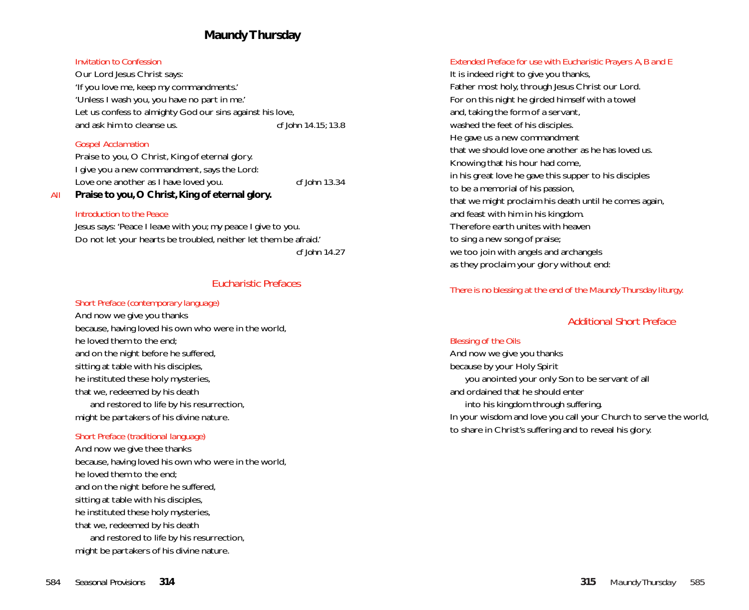# **Maundy Thursday**

#### *Invitation to Confession*

Our Lord Jesus Christ says: 'If you love me, keep my commandments.' 'Unless I wash you, you have no part in me.' Let us confess to almighty God our sins against his love, and ask him to cleanse us. *cf* lohn 14.15; 13.8

#### *Gospel Acclamation*

Praise to you, O Christ, King of eternal glory. I give you a new commandment, says the Lord: Love one another as I have loved you. *cf John 13.34*

#### *All* **Praise to you, O Christ, King of eternal glory.**

#### *Introduction to the Peace*

Jesus says: 'Peace I leave with you; my peace I give to you. Do not let your hearts be troubled, neither let them be afraid.' *cf John 14.27*

### *Eucharistic Prefaces*

#### *Short Preface (contemporary language)*

And now we give you thanks because, having loved his own who were in the world, he loved them to the end; and on the night before he suffered, sitting at table with his disciples, he instituted these holy mysteries, that we, redeemed by his death and restored to life by his resurrection, might be partakers of his divine nature.

#### *Short Preface (traditional language)*

And now we give thee thanks because, having loved his own who were in the world, he loved them to the end; and on the night before he suffered, sitting at table with his disciples, he instituted these holy mysteries, that we, redeemed by his death and restored to life by his resurrection, might be partakers of his divine nature.

#### *Extended Preface for use with Eucharistic Prayers A, B and E*

It is indeed right to give you thanks, Father most holy, through Jesus Christ our Lord. For on this night he girded himself with a towel and, taking the form of a servant, washed the feet of his disciples. He gave us a new commandment that we should love one another as he has loved us. Knowing that his hour had come, in his great love he gave this supper to his disciples to be a memorial of his passion, that we might proclaim his death until he comes again, and feast with him in his kingdom. Therefore earth unites with heaven to sing a new song of praise; we too join with angels and archangels as they proclaim your glory without end:

#### *There is no blessing at the end of the Maundy Thursday liturgy.*

# *Additional Short Preface*

#### *Blessing of the Oils*

And now we give you thanks because by your Holy Spirit you anointed your only Son to be servant of all and ordained that he should enter into his kingdom through suffering. In your wisdom and love you call your Church to serve the world, to share in Christ's suffering and to reveal his glory.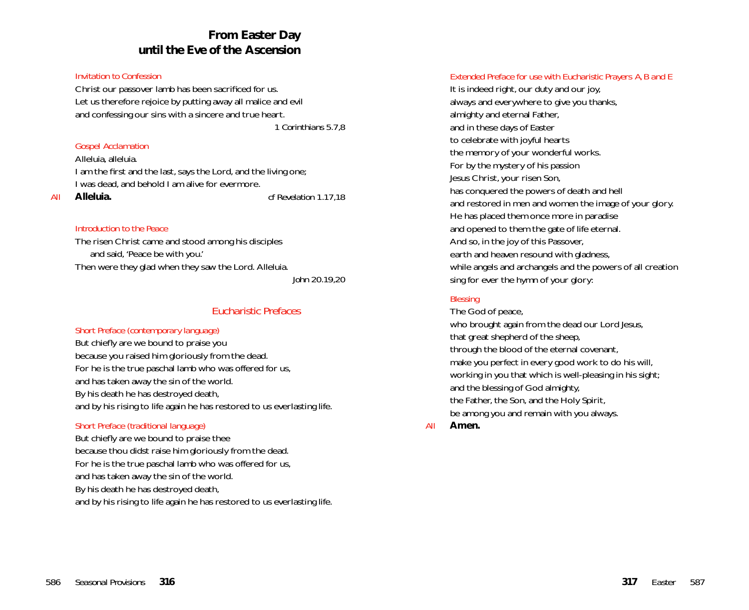# **From Easter Day until the Eve of the Ascension**

#### *Invitation to Confession*

Christ our passover lamb has been sacrificed for us. Let us therefore rejoice by putting away all malice and evil and confessing our sins with a sincere and true heart.

*1 Corinthians 5.7,8*

#### *Gospel Acclamation*

Alleluia, alleluia. I am the first and the last, says the Lord, and the living one; I was dead, and behold I am alive for evermore. *All* **Alleluia.** *cf Revelation 1.17,18*

# *Introduction to the Peace*

The risen Christ came and stood among his disciples and said, 'Peace be with you.' Then were they glad when they saw the Lord. Alleluia.

*John 20.19,20*

# *Eucharistic Prefaces*

#### *Short Preface (contemporary language)*

But chiefly are we bound to praise you because you raised him gloriously from the dead. For he is the true paschal lamb who was offered for us, and has taken away the sin of the world. By his death he has destroyed death, and by his rising to life again he has restored to us everlasting life.

#### *Short Preface (traditional language)*

But chiefly are we bound to praise thee because thou didst raise him gloriously from the dead. For he is the true paschal lamb who was offered for us, and has taken away the sin of the world. By his death he has destroyed death, and by his rising to life again he has restored to us everlasting life.

#### *Extended Preface for use with Eucharistic Prayers A, B and E*

It is indeed right, our duty and our joy, always and everywhere to give you thanks, almighty and eternal Father, and in these days of Easter to celebrate with joyful hearts the memory of your wonderful works. For by the mystery of his passion Jesus Christ, your risen Son, has conquered the powers of death and hell and restored in men and women the image of your glory. He has placed them once more in paradise and opened to them the gate of life eternal. And so, in the joy of this Passover, earth and heaven resound with gladness, while angels and archangels and the powers of all creation sing for ever the hymn of your glory:

# *Blessing*

The God of peace, who brought again from the dead our Lord Jesus, that great shepherd of the sheep, through the blood of the eternal covenant, make you perfect in every good work to do his will, working in you that which is well-pleasing in his sight; and the blessing of God almighty, the Father, the Son, and the Holy Spirit, be among you and remain with you always.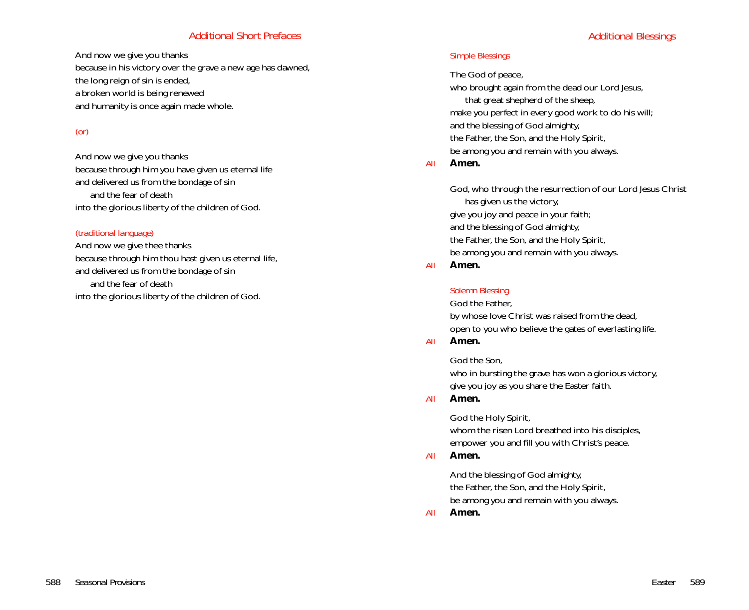# *Additional Short Prefaces*

# *Additional Blessings*

And now we give you thanks because in his victory over the grave a new age has dawned, the long reign of sin is ended, a broken world is being renewed and humanity is once again made whole.

# *(or)*

And now we give you thanks because through him you have given us eternal life and delivered us from the bondage of sin and the fear of death into the glorious liberty of the children of God.

#### *(traditional language)*

And now we give thee thanks because through him thou hast given us eternal life, and delivered us from the bondage of sin and the fear of death into the glorious liberty of the children of God.

#### *Simple Blessings*

#### The God of peace,

who brought again from the dead our Lord Jesus, that great shepherd of the sheep, make you perfect in every good work to do his will; and the blessing of God almighty, the Father, the Son, and the Holy Spirit, be among you and remain with you always.

#### *All* **Amen.**

God, who through the resurrection of our Lord Jesus Christ has given us the victory, give you joy and peace in your faith; and the blessing of God almighty, the Father, the Son, and the Holy Spirit, be among you and remain with you always.

# *All* **Amen.**

#### *Solemn Blessing*

God the Father,

by whose love Christ was raised from the dead, open to you who believe the gates of everlasting life.

*All* **Amen.**

God the Son,

who in bursting the grave has won a glorious victory, give you joy as you share the Easter faith.

*All* **Amen.**

God the Holy Spirit,

whom the risen Lord breathed into his disciples, empower you and fill you with Christ's peace.

*All* **Amen.**

And the blessing of God almighty, the Father, the Son, and the Holy Spirit, be among you and remain with you always.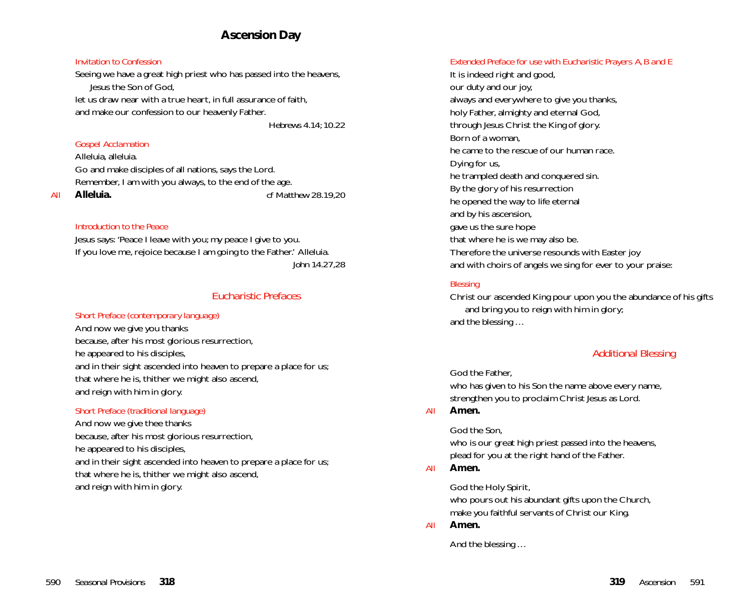# **Ascension Day**

#### *Invitation to Confession*

Seeing we have a great high priest who has passed into the heavens, Jesus the Son of God, let us draw near with a true heart, in full assurance of faith, and make our confession to our heavenly Father.

*Hebrews 4.14; 10.22*

#### *Gospel Acclamation*

Alleluia, alleluia. Go and make disciples of all nations, says the Lord. Remember, I am with you always, to the end of the age. *All* **Alleluia.** *cf Matthew 28.19,20*

#### *Introduction to the Peace*

Jesus says: 'Peace I leave with you; my peace I give to you. If you love me, rejoice because I am going to the Father.' Alleluia. *John 14.27,28*

# *Eucharistic Prefaces*

#### *Short Preface (contemporary language)*

And now we give you thanks because, after his most glorious resurrection, he appeared to his disciples, and in their sight ascended into heaven to prepare a place for us; that where he is, thither we might also ascend, and reign with him in glory.

#### *Short Preface (traditional language)*

And now we give thee thanks because, after his most glorious resurrection, he appeared to his disciples, and in their sight ascended into heaven to prepare a place for us; that where he is, thither we might also ascend, and reign with him in glory.

#### *Extended Preface for use with Eucharistic Prayers A, B and E*

It is indeed right and good, our duty and our joy, always and everywhere to give you thanks, holy Father, almighty and eternal God, through Jesus Christ the King of glory. Born of a woman, he came to the rescue of our human race. Dying for us, he trampled death and conquered sin. By the glory of his resurrection he opened the way to life eternal and by his ascension, gave us the sure hope that where he is we may also be. Therefore the universe resounds with Easter joy and with choirs of angels we sing for ever to your praise:

### *Blessing*

Christ our ascended King pour upon you the abundance of his gifts and bring you to reign with him in glory; and the blessing …

# *Additional Blessing*

#### God the Father,

who has given to his Son the name above every name, strengthen you to proclaim Christ Jesus as Lord.

#### *All* **Amen.**

God the Son,

who is our great high priest passed into the heavens, plead for you at the right hand of the Father.

*All* **Amen.**

God the Holy Spirit, who pours out his abundant gifts upon the Church, make you faithful servants of Christ our King.

*All* **Amen.**

And the blessing …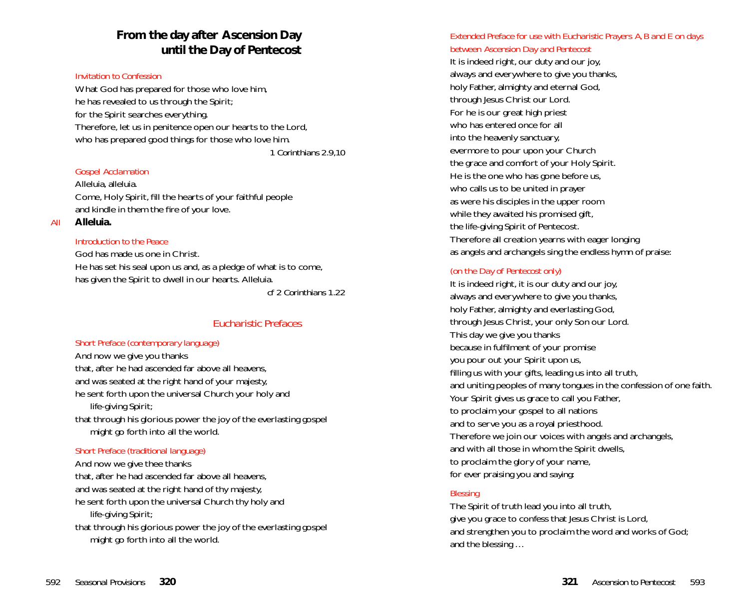# **From the day after Ascension Day until the Day of Pentecost**

#### *Invitation to Confession*

What God has prepared for those who love him, he has revealed to us through the Spirit; for the Spirit searches everything. Therefore, let us in penitence open our hearts to the Lord, who has prepared good things for those who love him.

*1 Corinthians 2.9,10*

#### *Gospel Acclamation*

Alleluia, alleluia. Come, Holy Spirit, fill the hearts of your faithful people and kindle in them the fire of your love.

#### *All* **Alleluia.**

#### *Introduction to the Peace*

God has made us one in Christ. He has set his seal upon us and, as a pledge of what is to come, has given the Spirit to dwell in our hearts. Alleluia. *cf 2 Corinthians 1.22*

# *Eucharistic Prefaces*

#### *Short Preface (contemporary language)*

And now we give you thanks that, after he had ascended far above all heavens, and was seated at the right hand of your majesty, he sent forth upon the universal Church your holy and life-giving Spirit; that through his glorious power the joy of the everlasting gospel might go forth into all the world.

#### *Short Preface (traditional language)*

And now we give thee thanks that, after he had ascended far above all heavens, and was seated at the right hand of thy majesty, he sent forth upon the universal Church thy holy and life-giving Spirit; that through his glorious power the joy of the everlasting gospel might go forth into all the world.

#### *Extended Preface for use with Eucharistic Prayers A, B and E on days between Ascension Day and Pentecost*

It is indeed right, our duty and our joy, always and everywhere to give you thanks, holy Father, almighty and eternal God, through Jesus Christ our Lord. For he is our great high priest who has entered once for all into the heavenly sanctuary, evermore to pour upon your Church the grace and comfort of your Holy Spirit. He is the one who has gone before us, who calls us to be united in prayer as were his disciples in the upper room while they awaited his promised gift, the life-giving Spirit of Pentecost. Therefore all creation yearns with eager longing as angels and archangels sing the endless hymn of praise:

#### *(on the Day of Pentecost only)*

It is indeed right, it is our duty and our joy, always and everywhere to give you thanks, holy Father, almighty and everlasting God, through Jesus Christ, your only Son our Lord. This day we give you thanks because in fulfilment of your promise you pour out your Spirit upon us, filling us with your gifts, leading us into all truth, and uniting peoples of many tongues in the confession of one faith. Your Spirit gives us grace to call you Father, to proclaim your gospel to all nations and to serve you as a royal priesthood. Therefore we join our voices with angels and archangels, and with all those in whom the Spirit dwells, to proclaim the glory of your name, for ever praising you and *saying*:

#### *Blessing*

The Spirit of truth lead you into all truth, give you grace to confess that Jesus Christ is Lord, and strengthen you to proclaim the word and works of God; and the blessing …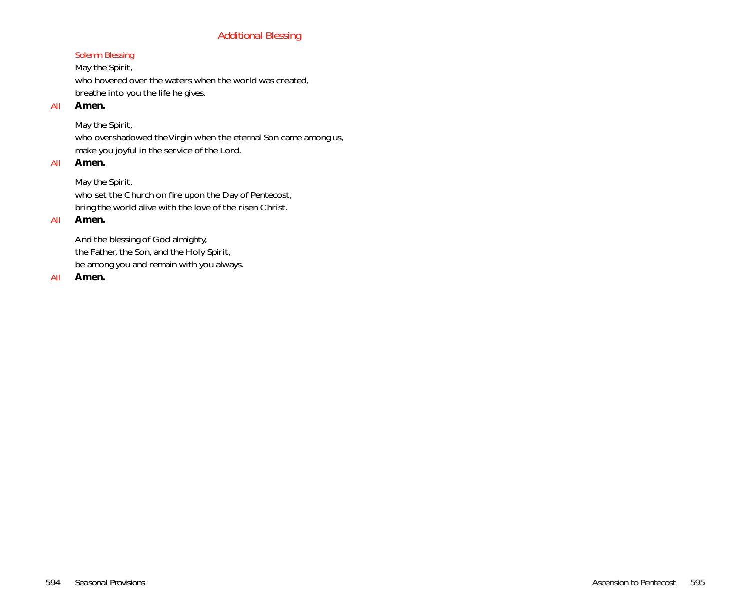# *Additional Blessing*

### *Solemn Blessing*

May the Spirit, who hovered over the waters when the world was created, breathe into you the life he gives.

#### *All* **Amen.**

May the Spirit,

who overshadowed the Virgin when the eternal Son came among us, make you joyful in the service of the Lord.

#### *All* **Amen.**

May the Spirit, who set the Church on fire upon the Day of Pentecost, bring the world alive with the love of the risen Christ.

#### *All* **Amen.**

And the blessing of God almighty, the Father, the Son, and the Holy Spirit, be among you and remain with you always.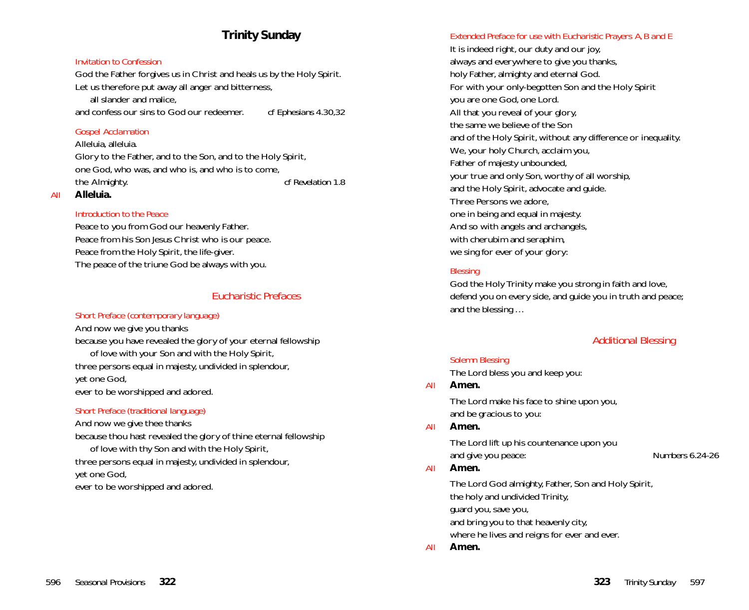# **Trinity Sunday**

#### *Invitation to Confession*

God the Father forgives us in Christ and heals us by the Holy Spirit. Let us therefore put away all anger and bitterness,

all slander and malice, and confess our sins to God our redeemer. *cf Ephesians 4.30,32*

#### *Gospel Acclamation*

Alleluia, alleluia. Glory to the Father, and to the Son, and to the Holy Spirit, one God, who was, and who is, and who is to come, the Almighty. *cf Revelation 1.8*

#### *All* **Alleluia.**

#### *Introduction to the Peace*

Peace to you from God our heavenly Father. Peace from his Son Jesus Christ who is our peace. Peace from the Holy Spirit, the life-giver. The peace of the triune God be always with you.

### *Eucharistic Prefaces*

#### *Short Preface (contemporary language)*

And now we give you thanks because you have revealed the glory of your eternal fellowship of love with your Son and with the Holy Spirit, three persons equal in majesty, undivided in splendour, yet one God, ever to be worshipped and adored.

#### *Short Preface (traditional language)*

And now we give thee thanks because thou hast revealed the glory of thine eternal fellowship of love with thy Son and with the Holy Spirit, three persons equal in majesty, undivided in splendour, yet one God, ever to be worshipped and adored.

#### *Extended Preface for use with Eucharistic Prayers A, B and E*

It is indeed right, our duty and our joy, always and everywhere to give you thanks, holy Father, almighty and eternal God. For with your only-begotten Son and the Holy Spirit you are one God, one Lord. All that you reveal of your glory, the same we believe of the Son and of the Holy Spirit, without any difference or inequality. We, your holy Church, acclaim you, Father of majesty unbounded, your true and only Son, worthy of all worship, and the Holy Spirit, advocate and guide. Three Persons we adore, one in being and equal in majesty. And so with angels and archangels, with cherubim and seraphim, we sing for ever of your glory:

#### *Blessing*

God the Holy Trinity make you strong in faith and love, defend you on every side, and guide you in truth and peace; and the blessing …

# *Additional Blessing*

#### *Solemn Blessing*

The Lord bless you and keep you:

*All* **Amen.**

The Lord make his face to shine upon you, and be gracious to you:

*All* **Amen.**

The Lord lift up his countenance upon you and give you peace: *Numbers 6.24-26*

#### *All* **Amen.**

The Lord God almighty, Father, Son and Holy Spirit, the holy and undivided Trinity, guard you, save you, and bring you to that heavenly city, where he lives and reigns for ever and ever.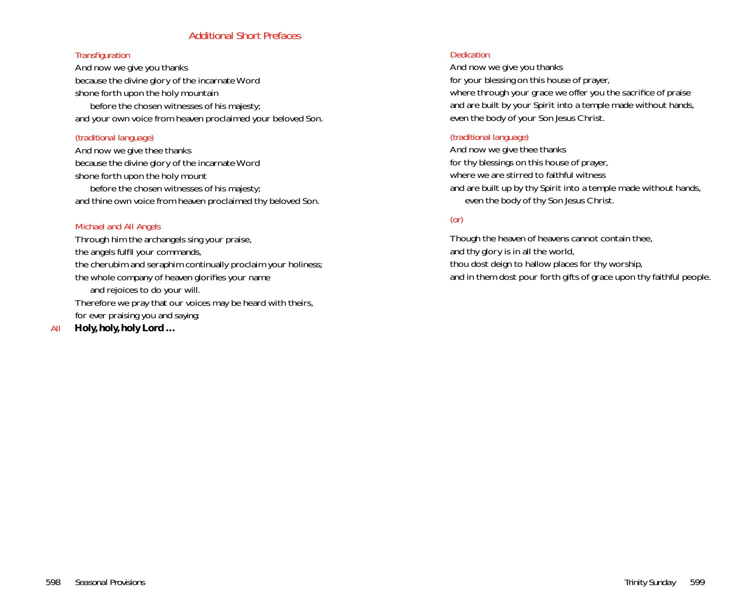# *Additional Short Prefaces*

#### *Transfiguration*

And now we give you thanks because the divine glory of the incarnate Word shone forth upon the holy mountain before the chosen witnesses of his majesty;

and your own voice from heaven proclaimed your beloved Son.

#### *(traditional language)*

And now we give thee thanks because the divine glory of the incarnate Word shone forth upon the holy mount before the chosen witnesses of his majesty; and thine own voice from heaven proclaimed thy beloved Son.

#### *Michael and All Angels*

Through him the archangels sing your praise, the angels fulfil your commands, the cherubim and seraphim continually proclaim your holiness; the whole company of heaven glorifies your name and rejoices to do your will. Therefore we pray that our voices may be heard with theirs, for ever praising you and *saying:*

*All* **Holy, holy, holy Lord …**

#### *Dedication*

And now we give you thanks for your blessing on this house of prayer, where through your grace we offer you the sacrifice of praise and are built by your Spirit into a temple made without hands, even the body of your Son Jesus Christ.

#### *(traditional language)*

And now we give thee thanks for thy blessings on this house of prayer, where we are stirred to faithful witness and are built up by thy Spirit into a temple made without hands, even the body of thy Son Jesus Christ.

### *(or)*

Though the heaven of heavens cannot contain thee, and thy glory is in all the world, thou dost deign to hallow places for thy worship, and in them dost pour forth gifts of grace upon thy faithful people.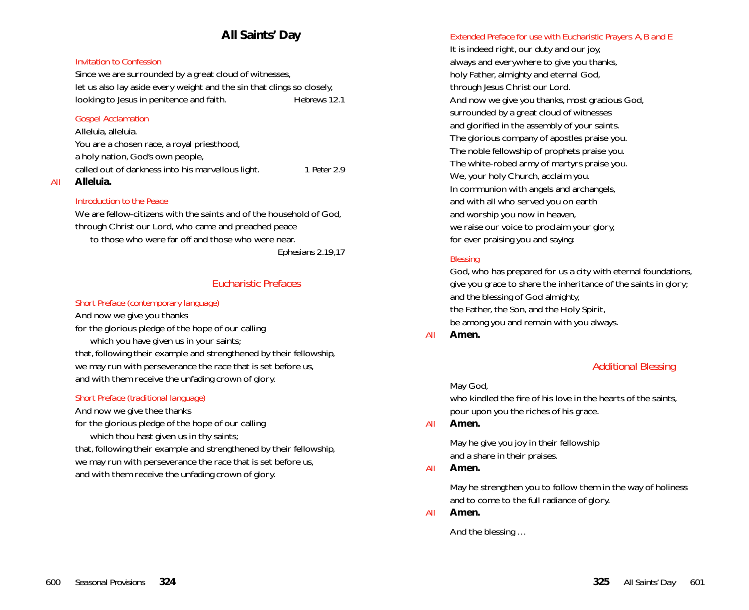# **All Saints' Day**

#### *Invitation to Confession*

Since we are surrounded by a great cloud of witnesses, let us also lay aside every weight and the sin that clings so closely, looking to Jesus in penitence and faith. *Hebrews 12.1*

#### *Gospel Acclamation*

Alleluia, alleluia. You are a chosen race, a royal priesthood, a holy nation, God's own people, called out of darkness into his marvellous light. *1 Peter 2.9 All* **Alleluia.**

# *Introduction to the Peace*

We are fellow-citizens with the saints and of the household of God through Christ our Lord, who came and preached peace

to those who were far off and those who were near.

*Ephesians 2.19,17*

### *Eucharistic Prefaces*

#### *Short Preface (contemporary language)*

And now we give you thanks for the glorious pledge of the hope of our calling which you have given us in your saints; that, following their example and strengthened by their fellowship, we may run with perseverance the race that is set before us, and with them receive the unfading crown of glory.

#### *Short Preface (traditional language)*

And now we give thee thanks for the glorious pledge of the hope of our calling which thou hast given us in thy saints; that, following their example and strengthened by their fellowship, we may run with perseverance the race that is set before us, and with them receive the unfading crown of glory.

#### *Extended Preface for use with Eucharistic Prayers A, B and E*

It is indeed right, our duty and our joy, always and everywhere to give you thanks, holy Father, almighty and eternal God, through Jesus Christ our Lord. And now we give you thanks, most gracious God, surrounded by a great cloud of witnesses and glorified in the assembly of your saints. The glorious company of apostles praise you. The noble fellowship of prophets praise you. The white-robed army of martyrs praise you. We, your holy Church, acclaim you. In communion with angels and archangels, and with all who served you on earth and worship you now in heaven, we raise our voice to proclaim your glory, for ever praising you and *saying*:

#### *Blessing*

God, who has prepared for us a city with eternal foundations, give you grace to share the inheritance of the saints in glory; and the blessing of God almighty, the Father, the Son, and the Holy Spirit, be among you and remain with you always.

*All* **Amen.**

# *Additional Blessing*

#### May God,

who kindled the fire of his love in the hearts of the saints, pour upon you the riches of his grace.

*All* **Amen.**

May he give you joy in their fellowship and a share in their praises.

*All* **Amen.**

May he strengthen you to follow them in the way of holiness and to come to the full radiance of glory.

*All* **Amen.**

And the blessing …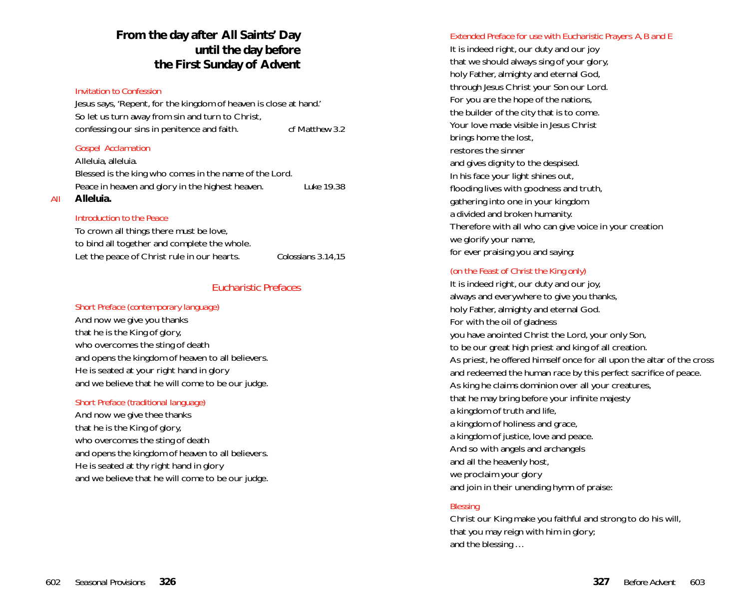# **From the day after All Saints' Day until the day before the First Sunday of Advent**

#### *Invitation to Confession*

Jesus says, 'Repent, for the kingdom of heaven is close at hand.' So let us turn away from sin and turn to Christ, confessing our sins in penitence and faith. *cf Matthew 3.2*

#### *Gospel Acclamation*

Alleluia, alleluia. Blessed is the king who comes in the name of the Lord. Peace in heaven and glory in the highest heaven. *Luke 19.38 All* **Alleluia.**

### *Introduction to the Peace*

To crown all things there must be love, to bind all together and complete the whole. Let the peace of Christ rule in our hearts. *Colossians 3.14,15*

### *Eucharistic Prefaces*

#### *Short Preface (contemporary language)*

And now we give you thanks that he is the King of glory, who overcomes the sting of death and opens the kingdom of heaven to all believers. He is seated at your right hand in glory and we believe that he will come to be our judge.

#### *Short Preface (traditional language)*

And now we give thee thanks that he is the King of glory, who overcomes the sting of death and opens the kingdom of heaven to all believers. He is seated at thy right hand in glory and we believe that he will come to be our judge.

#### *Extended Preface for use with Eucharistic Prayers A, B and E*

It is indeed right, our duty and our joy that we should always sing of your glory, holy Father, almighty and eternal God, through Jesus Christ your Son our Lord. For you are the hope of the nations, the builder of the city that is to come. Your love made visible in Jesus Christ brings home the lost, restores the sinner and gives dignity to the despised. In his face your light shines out, flooding lives with goodness and truth, gathering into one in your kingdom a divided and broken humanity. Therefore with all who can give voice in your creation we glorify your name, for ever praising you and *saying*:

#### *(on the Feast of Christ the King only)*

It is indeed right, our duty and our joy, always and everywhere to give you thanks, holy Father, almighty and eternal God. For with the oil of gladness you have anointed Christ the Lord, your only Son, to be our great high priest and king of all creation. As priest, he offered himself once for all upon the altar of the cross and redeemed the human race by this perfect sacrifice of peace. As king he claims dominion over all your creatures, that he may bring before your infinite majesty a kingdom of truth and life, a kingdom of holiness and grace, a kingdom of justice, love and peace. And so with angels and archangels and all the heavenly host, we proclaim your glory and join in their unending hymn of praise:

#### *Blessing*

Christ our King make you faithful and strong to do his will, that you may reign with him in glory; and the blessing …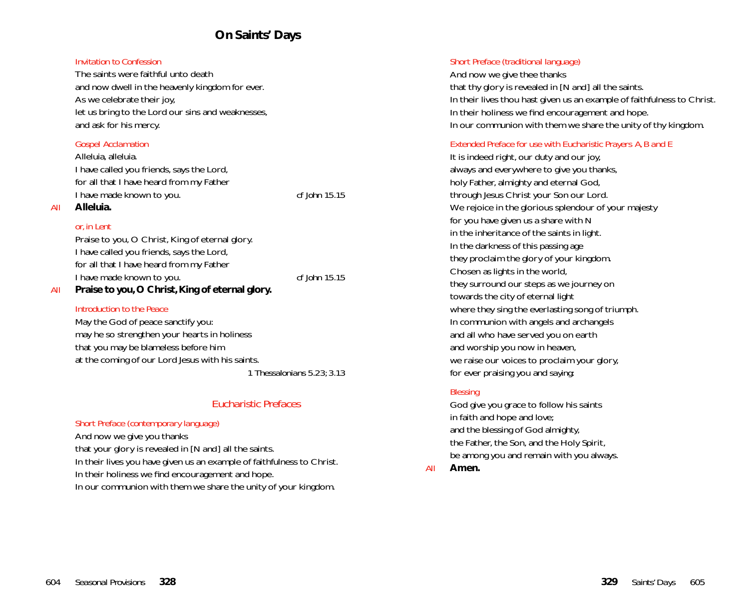# **On Saints' Days**

| and now dwell in the heavenly kingdom for ever.<br>As we celebrate their joy,<br>let us bring to the Lord our sins and weaknesses,                                                                                                                              | In their lives<br>In their holi                                                                                  |
|-----------------------------------------------------------------------------------------------------------------------------------------------------------------------------------------------------------------------------------------------------------------|------------------------------------------------------------------------------------------------------------------|
| and ask for his mercy.<br><b>Gospel Acclamation</b><br>Alleluia, alleluia.<br>I have called you friends, says the Lord,<br>for all that I have heard from my Father<br>I have made known to you.<br>cf John 15.15<br>Alleluia.<br>All                           | In our comn<br><b>Extended Pre</b><br>It is indeed<br>always and e<br>holy Father,<br>through Jesu<br>We rejoice |
| or, in Lent<br>Praise to you, O Christ, King of eternal glory.<br>I have called you friends, says the Lord,<br>for all that I have heard from my Father<br>I have made known to you.<br>cf John 15.15<br>Praise to you, O Christ, King of eternal glory.<br>All | for you have<br>in the inheri<br>In the darkn<br>they proclai<br>Chosen as li<br>they surroul<br>towards the     |
| Introduction to the Peace<br>May the God of peace sanctify you:<br>may he so strengthen your hearts in holiness<br>that you may be blameless before him<br>at the coming of our Lord Jesus with his saints.<br>1 Thessalonians 5.23; 3.13                       | where they<br>In communi<br>and all who<br>and worship<br>we raise our<br>for ever pra                           |

### *Eucharistic Prefaces*

#### *Short Preface (contemporary language)*

And now we give you thanks that your glory is revealed in [*N and*] all the saints. In their lives you have given us an example of faithfulness to Christ. In their holiness we find encouragement and hope. In our communion with them we share the unity of your kingdom.

#### *Short Preface (traditional language)*

e give thee thanks ry is revealed in [*N and*] all the saints. s thou hast given us an example of faithfulness to Christ. ness we find encouragement and hope. nunion with them we share the unity of thy kingdom.

#### *Extended Preface for use with Eucharistic Prayers A, B and E*

right, our duty and our joy, everywhere to give you thanks, almighty and eternal God, us Christ your Son our Lord. in the glorious splendour of your majesty for given us a share with N itance of the saints in light. iess of this passing age im the glory of your kingdom. ights in the world, ind our steps as we journey on city of eternal light sing the everlasting song of triumph. ion with angels and archangels have served you on earth p you now in heaven, r voices to proclaim your glory, ising you and saying:

#### *Blessing*

God give you grace to follow his saints in faith and hope and love; and the blessing of God almighty, the Father, the Son, and the Holy Spirit, be among you and remain with you always.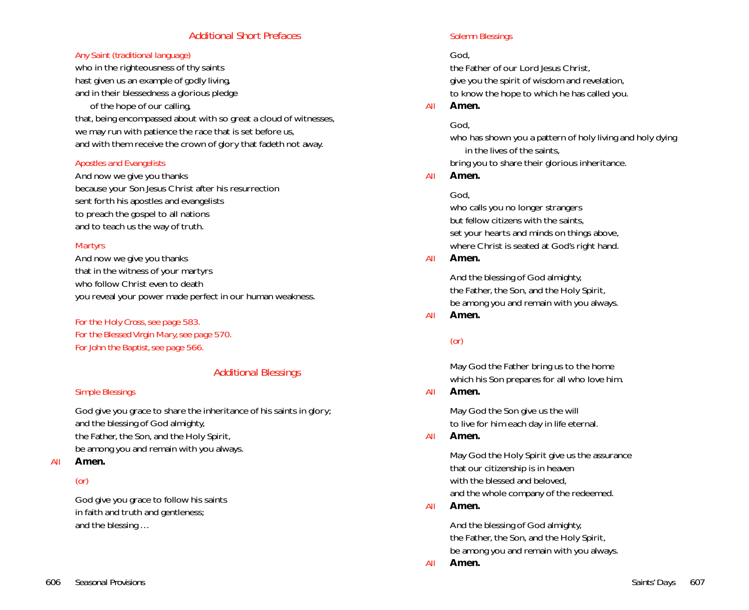# *Additional Short Prefaces*

#### *Any Saint (traditional language)*

who in the righteousness of thy saints hast given us an example of godly living, and in their blessedness a glorious pledge

of the hope of our calling, that, being encompassed about with so great a cloud of witnesses, we may run with patience the race that is set before us, and with them receive the crown of glory that fadeth not away.

#### *Apostles and Evangelists*

And now we give you thanks because your Son Jesus Christ after his resurrection sent forth his apostles and evangelists to preach the gospel to all nations and to teach us the way of truth.

#### *Martyrs*

And now we give you thanks that in the witness of your martyrs who follow Christ even to death you reveal your power made perfect in our human weakness.

*For the Holy Cross, see page 583. For the Blessed Virgin Mary, see page 570. For John the Baptist, see page 566.*

# *Additional Blessings*

#### *Simple Blessings*

God give you grace to share the inheritance of his saints in glory; and the blessing of God almighty, the Father, the Son, and the Holy Spirit, be among you and remain with you always.

# *All* **Amen.**

# *(or)*

God give you grace to follow his saints in faith and truth and gentleness; and the blessing …

#### *Solemn Blessings*

### God,

the Father of our Lord Jesus Christ, give you the spirit of wisdom and revelation, to know the hope to which he has called you.

*All* **Amen.**

#### God,

who has shown you a pattern of holy living and holy dying in the lives of the saints, bring you to share their glorious inheritance.

# *All* **Amen.**

# God,

who calls you no longer strangers but fellow citizens with the saints, set your hearts and minds on things above, where Christ is seated at God's right hand.

#### *All* **Amen.**

And the blessing of God almighty, the Father, the Son, and the Holy Spirit, be among you and remain with you always.

*All* **Amen.**

# *(or)*

May God the Father bring us to the home which his Son prepares for all who love him.

*All* **Amen.**

May God the Son give us the will to live for him each day in life eternal.

*All* **Amen.**

May God the Holy Spirit give us the assurance that our citizenship is in heaven with the blessed and beloved, and the whole company of the redeemed.

*All* **Amen.**

And the blessing of God almighty, the Father, the Son, and the Holy Spirit, be among you and remain with you always.